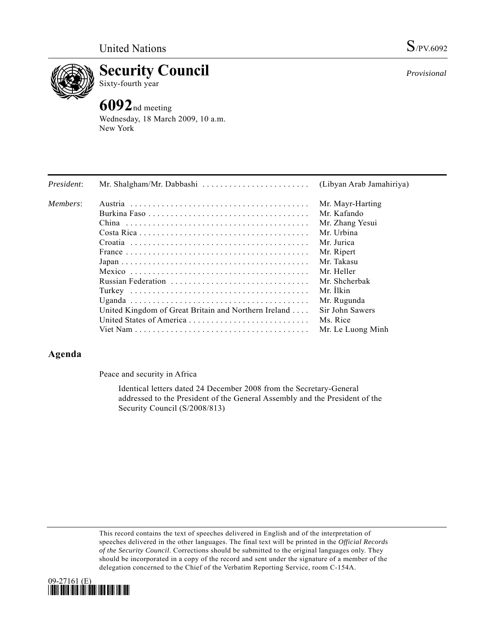

**Security Council** 

Sixty-fourth year

# **6092**nd meeting

Wednesday, 18 March 2009, 10 a.m. New York

| President: | Mr. Shalgham/Mr. Dabbashi                            | (Libyan Arab Jamahiriya) |
|------------|------------------------------------------------------|--------------------------|
| Members:   |                                                      | Mr. Mayr-Harting         |
|            |                                                      | Mr. Kafando              |
|            |                                                      | Mr. Zhang Yesui          |
|            |                                                      | Mr. Urbina               |
|            |                                                      | Mr. Jurica               |
|            |                                                      | Mr. Ripert               |
|            |                                                      | Mr. Takasu               |
|            |                                                      | Mr. Heller               |
|            |                                                      | Mr. Shcherbak            |
|            |                                                      | Mr. Ilkin                |
|            |                                                      | Mr. Rugunda              |
|            | United Kingdom of Great Britain and Northern Ireland | Sir John Sawers          |
|            |                                                      | Ms. Rice                 |
|            |                                                      | Mr. Le Luong Minh        |

## **Agenda**

Peace and security in Africa

 Identical letters dated 24 December 2008 from the Secretary-General addressed to the President of the General Assembly and the President of the Security Council (S/2008/813)

This record contains the text of speeches delivered in English and of the interpretation of speeches delivered in the other languages. The final text will be printed in the *Official Records of the Security Council*. Corrections should be submitted to the original languages only. They should be incorporated in a copy of the record and sent under the signature of a member of the delegation concerned to the Chief of the Verbatim Reporting Service, room C-154A.



*Provisional*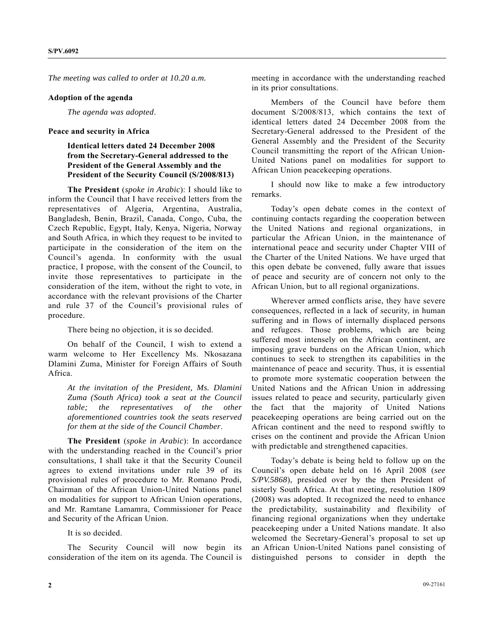*The meeting was called to order at 10.20 a.m.* 

#### **Adoption of the agenda**

*The agenda was adopted*.

#### **Peace and security in Africa**

### **Identical letters dated 24 December 2008 from the Secretary-General addressed to the President of the General Assembly and the President of the Security Council (S/2008/813)**

 **The President** (*spoke in Arabic*): I should like to inform the Council that I have received letters from the representatives of Algeria, Argentina, Australia, Bangladesh, Benin, Brazil, Canada, Congo, Cuba, the Czech Republic, Egypt, Italy, Kenya, Nigeria, Norway and South Africa, in which they request to be invited to participate in the consideration of the item on the Council's agenda. In conformity with the usual practice, I propose, with the consent of the Council, to invite those representatives to participate in the consideration of the item, without the right to vote, in accordance with the relevant provisions of the Charter and rule 37 of the Council's provisional rules of procedure.

There being no objection, it is so decided.

 On behalf of the Council, I wish to extend a warm welcome to Her Excellency Ms. Nkosazana Dlamini Zuma, Minister for Foreign Affairs of South Africa.

*At the invitation of the President, Ms. Dlamini Zuma (South Africa) took a seat at the Council table; the representatives of the other aforementioned countries took the seats reserved for them at the side of the Council Chamber*.

**The President** (*spoke in Arabic*): In accordance with the understanding reached in the Council's prior consultations, I shall take it that the Security Council agrees to extend invitations under rule 39 of its provisional rules of procedure to Mr. Romano Prodi, Chairman of the African Union-United Nations panel on modalities for support to African Union operations, and Mr. Ramtane Lamamra, Commissioner for Peace and Security of the African Union.

It is so decided.

 The Security Council will now begin its consideration of the item on its agenda. The Council is meeting in accordance with the understanding reached in its prior consultations.

 Members of the Council have before them document S/2008/813, which contains the text of identical letters dated 24 December 2008 from the Secretary-General addressed to the President of the General Assembly and the President of the Security Council transmitting the report of the African Union-United Nations panel on modalities for support to African Union peacekeeping operations.

 I should now like to make a few introductory remarks.

 Today's open debate comes in the context of continuing contacts regarding the cooperation between the United Nations and regional organizations, in particular the African Union, in the maintenance of international peace and security under Chapter VIII of the Charter of the United Nations. We have urged that this open debate be convened, fully aware that issues of peace and security are of concern not only to the African Union, but to all regional organizations.

 Wherever armed conflicts arise, they have severe consequences, reflected in a lack of security, in human suffering and in flows of internally displaced persons and refugees. Those problems, which are being suffered most intensely on the African continent, are imposing grave burdens on the African Union, which continues to seek to strengthen its capabilities in the maintenance of peace and security. Thus, it is essential to promote more systematic cooperation between the United Nations and the African Union in addressing issues related to peace and security, particularly given the fact that the majority of United Nations peacekeeping operations are being carried out on the African continent and the need to respond swiftly to crises on the continent and provide the African Union with predictable and strengthened capacities.

 Today's debate is being held to follow up on the Council's open debate held on 16 April 2008 (*see S/PV.5868*), presided over by the then President of sisterly South Africa. At that meeting, resolution 1809 (2008) was adopted. It recognized the need to enhance the predictability, sustainability and flexibility of financing regional organizations when they undertake peacekeeping under a United Nations mandate. It also welcomed the Secretary-General's proposal to set up an African Union-United Nations panel consisting of distinguished persons to consider in depth the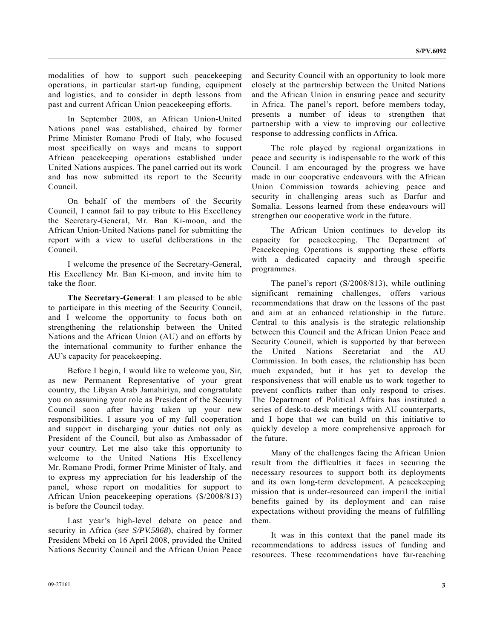modalities of how to support such peacekeeping operations, in particular start-up funding, equipment and logistics, and to consider in depth lessons from past and current African Union peacekeeping efforts.

 In September 2008, an African Union-United Nations panel was established, chaired by former Prime Minister Romano Prodi of Italy, who focused most specifically on ways and means to support African peacekeeping operations established under United Nations auspices. The panel carried out its work and has now submitted its report to the Security Council.

 On behalf of the members of the Security Council, I cannot fail to pay tribute to His Excellency the Secretary-General, Mr. Ban Ki-moon, and the African Union-United Nations panel for submitting the report with a view to useful deliberations in the Council.

 I welcome the presence of the Secretary-General, His Excellency Mr. Ban Ki-moon, and invite him to take the floor.

**The Secretary-General**: I am pleased to be able to participate in this meeting of the Security Council, and I welcome the opportunity to focus both on strengthening the relationship between the United Nations and the African Union (AU) and on efforts by the international community to further enhance the AU's capacity for peacekeeping.

 Before I begin, I would like to welcome you, Sir, as new Permanent Representative of your great country, the Libyan Arab Jamahiriya, and congratulate you on assuming your role as President of the Security Council soon after having taken up your new responsibilities. I assure you of my full cooperation and support in discharging your duties not only as President of the Council, but also as Ambassador of your country. Let me also take this opportunity to welcome to the United Nations His Excellency Mr. Romano Prodi, former Prime Minister of Italy, and to express my appreciation for his leadership of the panel, whose report on modalities for support to African Union peacekeeping operations (S/2008/813) is before the Council today.

 Last year's high-level debate on peace and security in Africa (*see S/PV.5868*), chaired by former President Mbeki on 16 April 2008, provided the United Nations Security Council and the African Union Peace and Security Council with an opportunity to look more closely at the partnership between the United Nations and the African Union in ensuring peace and security in Africa. The panel's report, before members today, presents a number of ideas to strengthen that partnership with a view to improving our collective response to addressing conflicts in Africa.

 The role played by regional organizations in peace and security is indispensable to the work of this Council. I am encouraged by the progress we have made in our cooperative endeavours with the African Union Commission towards achieving peace and security in challenging areas such as Darfur and Somalia. Lessons learned from these endeavours will strengthen our cooperative work in the future.

 The African Union continues to develop its capacity for peacekeeping. The Department of Peacekeeping Operations is supporting these efforts with a dedicated capacity and through specific programmes.

 The panel's report (S/2008/813), while outlining significant remaining challenges, offers various recommendations that draw on the lessons of the past and aim at an enhanced relationship in the future. Central to this analysis is the strategic relationship between this Council and the African Union Peace and Security Council, which is supported by that between the United Nations Secretariat and the AU Commission. In both cases, the relationship has been much expanded, but it has yet to develop the responsiveness that will enable us to work together to prevent conflicts rather than only respond to crises. The Department of Political Affairs has instituted a series of desk-to-desk meetings with AU counterparts, and I hope that we can build on this initiative to quickly develop a more comprehensive approach for the future.

 Many of the challenges facing the African Union result from the difficulties it faces in securing the necessary resources to support both its deployments and its own long-term development. A peacekeeping mission that is under-resourced can imperil the initial benefits gained by its deployment and can raise expectations without providing the means of fulfilling them.

 It was in this context that the panel made its recommendations to address issues of funding and resources. These recommendations have far-reaching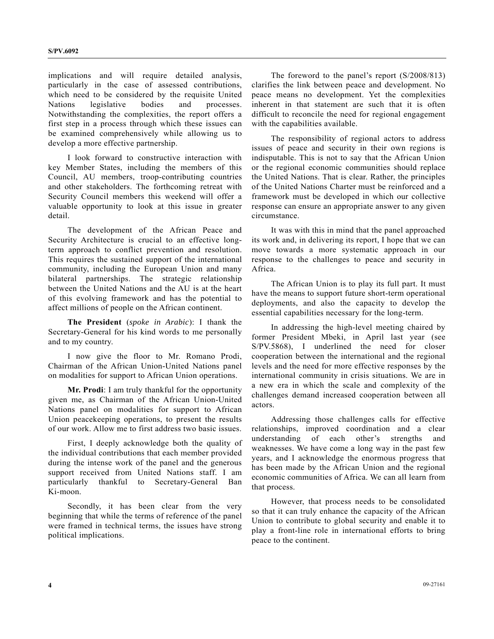implications and will require detailed analysis, particularly in the case of assessed contributions, which need to be considered by the requisite United Nations legislative bodies and processes. Notwithstanding the complexities, the report offers a first step in a process through which these issues can be examined comprehensively while allowing us to develop a more effective partnership.

 I look forward to constructive interaction with key Member States, including the members of this Council, AU members, troop-contributing countries and other stakeholders. The forthcoming retreat with Security Council members this weekend will offer a valuable opportunity to look at this issue in greater detail.

 The development of the African Peace and Security Architecture is crucial to an effective longterm approach to conflict prevention and resolution. This requires the sustained support of the international community, including the European Union and many bilateral partnerships. The strategic relationship between the United Nations and the AU is at the heart of this evolving framework and has the potential to affect millions of people on the African continent.

**The President** (*spoke in Arabic*): I thank the Secretary-General for his kind words to me personally and to my country.

 I now give the floor to Mr. Romano Prodi, Chairman of the African Union-United Nations panel on modalities for support to African Union operations.

**Mr. Prodi**: I am truly thankful for the opportunity given me, as Chairman of the African Union-United Nations panel on modalities for support to African Union peacekeeping operations, to present the results of our work. Allow me to first address two basic issues.

 First, I deeply acknowledge both the quality of the individual contributions that each member provided during the intense work of the panel and the generous support received from United Nations staff. I am particularly thankful to Secretary-General Ban Ki-moon.

 Secondly, it has been clear from the very beginning that while the terms of reference of the panel were framed in technical terms, the issues have strong political implications.

 The foreword to the panel's report (S/2008/813) clarifies the link between peace and development. No peace means no development. Yet the complexities inherent in that statement are such that it is often difficult to reconcile the need for regional engagement with the capabilities available.

 The responsibility of regional actors to address issues of peace and security in their own regions is indisputable. This is not to say that the African Union or the regional economic communities should replace the United Nations. That is clear. Rather, the principles of the United Nations Charter must be reinforced and a framework must be developed in which our collective response can ensure an appropriate answer to any given circumstance.

 It was with this in mind that the panel approached its work and, in delivering its report, I hope that we can move towards a more systematic approach in our response to the challenges to peace and security in Africa.

 The African Union is to play its full part. It must have the means to support future short-term operational deployments, and also the capacity to develop the essential capabilities necessary for the long-term.

 In addressing the high-level meeting chaired by former President Mbeki, in April last year (see S/PV.5868), I underlined the need for closer cooperation between the international and the regional levels and the need for more effective responses by the international community in crisis situations. We are in a new era in which the scale and complexity of the challenges demand increased cooperation between all actors.

 Addressing those challenges calls for effective relationships, improved coordination and a clear understanding of each other's strengths and weaknesses. We have come a long way in the past few years, and I acknowledge the enormous progress that has been made by the African Union and the regional economic communities of Africa. We can all learn from that process.

 However, that process needs to be consolidated so that it can truly enhance the capacity of the African Union to contribute to global security and enable it to play a front-line role in international efforts to bring peace to the continent.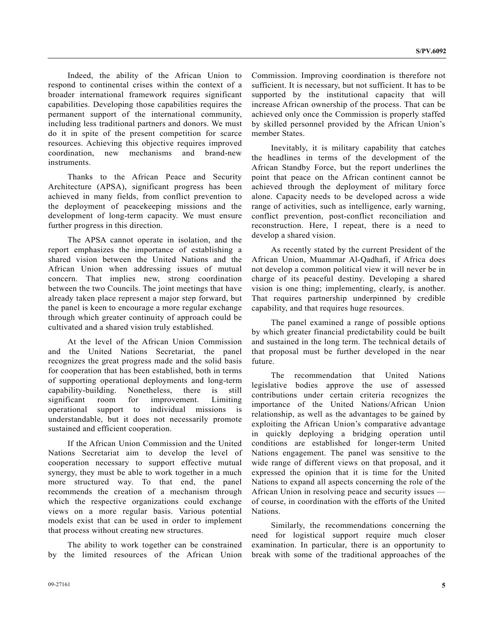Indeed, the ability of the African Union to respond to continental crises within the context of a broader international framework requires significant capabilities. Developing those capabilities requires the permanent support of the international community, including less traditional partners and donors. We must do it in spite of the present competition for scarce resources. Achieving this objective requires improved coordination, new mechanisms and brand-new instruments.

 Thanks to the African Peace and Security Architecture (APSA), significant progress has been achieved in many fields, from conflict prevention to the deployment of peacekeeping missions and the development of long-term capacity. We must ensure further progress in this direction.

 The APSA cannot operate in isolation, and the report emphasizes the importance of establishing a shared vision between the United Nations and the African Union when addressing issues of mutual concern. That implies new, strong coordination between the two Councils. The joint meetings that have already taken place represent a major step forward, but the panel is keen to encourage a more regular exchange through which greater continuity of approach could be cultivated and a shared vision truly established.

 At the level of the African Union Commission and the United Nations Secretariat, the panel recognizes the great progress made and the solid basis for cooperation that has been established, both in terms of supporting operational deployments and long-term capability-building. Nonetheless, there is still significant room for improvement. Limiting operational support to individual missions is understandable, but it does not necessarily promote sustained and efficient cooperation.

 If the African Union Commission and the United Nations Secretariat aim to develop the level of cooperation necessary to support effective mutual synergy, they must be able to work together in a much more structured way. To that end, the panel recommends the creation of a mechanism through which the respective organizations could exchange views on a more regular basis. Various potential models exist that can be used in order to implement that process without creating new structures.

 The ability to work together can be constrained by the limited resources of the African Union Commission. Improving coordination is therefore not sufficient. It is necessary, but not sufficient. It has to be supported by the institutional capacity that will increase African ownership of the process. That can be achieved only once the Commission is properly staffed by skilled personnel provided by the African Union's member States.

 Inevitably, it is military capability that catches the headlines in terms of the development of the African Standby Force, but the report underlines the point that peace on the African continent cannot be achieved through the deployment of military force alone. Capacity needs to be developed across a wide range of activities, such as intelligence, early warning, conflict prevention, post-conflict reconciliation and reconstruction. Here, I repeat, there is a need to develop a shared vision.

 As recently stated by the current President of the African Union, Muammar Al-Qadhafi, if Africa does not develop a common political view it will never be in charge of its peaceful destiny. Developing a shared vision is one thing; implementing, clearly, is another. That requires partnership underpinned by credible capability, and that requires huge resources.

 The panel examined a range of possible options by which greater financial predictability could be built and sustained in the long term. The technical details of that proposal must be further developed in the near future.

 The recommendation that United Nations legislative bodies approve the use of assessed contributions under certain criteria recognizes the importance of the United Nations/African Union relationship, as well as the advantages to be gained by exploiting the African Union's comparative advantage in quickly deploying a bridging operation until conditions are established for longer-term United Nations engagement. The panel was sensitive to the wide range of different views on that proposal, and it expressed the opinion that it is time for the United Nations to expand all aspects concerning the role of the African Union in resolving peace and security issues of course, in coordination with the efforts of the United Nations.

 Similarly, the recommendations concerning the need for logistical support require much closer examination. In particular, there is an opportunity to break with some of the traditional approaches of the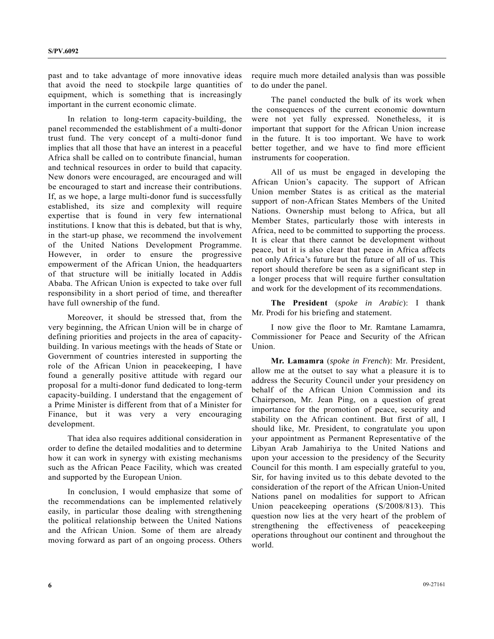past and to take advantage of more innovative ideas that avoid the need to stockpile large quantities of equipment, which is something that is increasingly important in the current economic climate.

 In relation to long-term capacity-building, the panel recommended the establishment of a multi-donor trust fund. The very concept of a multi-donor fund implies that all those that have an interest in a peaceful Africa shall be called on to contribute financial, human and technical resources in order to build that capacity. New donors were encouraged, are encouraged and will be encouraged to start and increase their contributions. If, as we hope, a large multi-donor fund is successfully established, its size and complexity will require expertise that is found in very few international institutions. I know that this is debated, but that is why, in the start-up phase, we recommend the involvement of the United Nations Development Programme. However, in order to ensure the progressive empowerment of the African Union, the headquarters of that structure will be initially located in Addis Ababa. The African Union is expected to take over full responsibility in a short period of time, and thereafter have full ownership of the fund.

 Moreover, it should be stressed that, from the very beginning, the African Union will be in charge of defining priorities and projects in the area of capacitybuilding. In various meetings with the heads of State or Government of countries interested in supporting the role of the African Union in peacekeeping, I have found a generally positive attitude with regard our proposal for a multi-donor fund dedicated to long-term capacity-building. I understand that the engagement of a Prime Minister is different from that of a Minister for Finance, but it was very a very encouraging development.

 That idea also requires additional consideration in order to define the detailed modalities and to determine how it can work in synergy with existing mechanisms such as the African Peace Facility, which was created and supported by the European Union.

 In conclusion, I would emphasize that some of the recommendations can be implemented relatively easily, in particular those dealing with strengthening the political relationship between the United Nations and the African Union. Some of them are already moving forward as part of an ongoing process. Others

require much more detailed analysis than was possible to do under the panel.

 The panel conducted the bulk of its work when the consequences of the current economic downturn were not yet fully expressed. Nonetheless, it is important that support for the African Union increase in the future. It is too important. We have to work better together, and we have to find more efficient instruments for cooperation.

 All of us must be engaged in developing the African Union's capacity. The support of African Union member States is as critical as the material support of non-African States Members of the United Nations. Ownership must belong to Africa, but all Member States, particularly those with interests in Africa, need to be committed to supporting the process. It is clear that there cannot be development without peace, but it is also clear that peace in Africa affects not only Africa's future but the future of all of us. This report should therefore be seen as a significant step in a longer process that will require further consultation and work for the development of its recommendations.

**The President** (*spoke in Arabic*): I thank Mr. Prodi for his briefing and statement.

 I now give the floor to Mr. Ramtane Lamamra, Commissioner for Peace and Security of the African Union.

**Mr. Lamamra** (*spoke in French*): Mr. President, allow me at the outset to say what a pleasure it is to address the Security Council under your presidency on behalf of the African Union Commission and its Chairperson, Mr. Jean Ping, on a question of great importance for the promotion of peace, security and stability on the African continent. But first of all, I should like, Mr. President, to congratulate you upon your appointment as Permanent Representative of the Libyan Arab Jamahiriya to the United Nations and upon your accession to the presidency of the Security Council for this month. I am especially grateful to you, Sir, for having invited us to this debate devoted to the consideration of the report of the African Union-United Nations panel on modalities for support to African Union peacekeeping operations (S/2008/813). This question now lies at the very heart of the problem of strengthening the effectiveness of peacekeeping operations throughout our continent and throughout the world.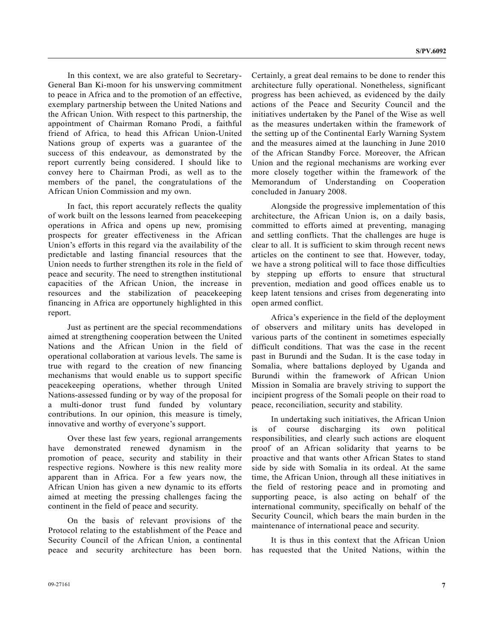In this context, we are also grateful to Secretary-General Ban Ki-moon for his unswerving commitment to peace in Africa and to the promotion of an effective, exemplary partnership between the United Nations and the African Union. With respect to this partnership, the appointment of Chairman Romano Prodi, a faithful friend of Africa, to head this African Union-United Nations group of experts was a guarantee of the success of this endeavour, as demonstrated by the report currently being considered. I should like to convey here to Chairman Prodi, as well as to the members of the panel, the congratulations of the African Union Commission and my own.

 In fact, this report accurately reflects the quality of work built on the lessons learned from peacekeeping operations in Africa and opens up new, promising prospects for greater effectiveness in the African Union's efforts in this regard via the availability of the predictable and lasting financial resources that the Union needs to further strengthen its role in the field of peace and security. The need to strengthen institutional capacities of the African Union, the increase in resources and the stabilization of peacekeeping financing in Africa are opportunely highlighted in this report.

 Just as pertinent are the special recommendations aimed at strengthening cooperation between the United Nations and the African Union in the field of operational collaboration at various levels. The same is true with regard to the creation of new financing mechanisms that would enable us to support specific peacekeeping operations, whether through United Nations-assessed funding or by way of the proposal for a multi-donor trust fund funded by voluntary contributions. In our opinion, this measure is timely, innovative and worthy of everyone's support.

 Over these last few years, regional arrangements have demonstrated renewed dynamism in the promotion of peace, security and stability in their respective regions. Nowhere is this new reality more apparent than in Africa. For a few years now, the African Union has given a new dynamic to its efforts aimed at meeting the pressing challenges facing the continent in the field of peace and security.

 On the basis of relevant provisions of the Protocol relating to the establishment of the Peace and Security Council of the African Union, a continental peace and security architecture has been born. Certainly, a great deal remains to be done to render this architecture fully operational. Nonetheless, significant progress has been achieved, as evidenced by the daily actions of the Peace and Security Council and the initiatives undertaken by the Panel of the Wise as well as the measures undertaken within the framework of the setting up of the Continental Early Warning System and the measures aimed at the launching in June 2010 of the African Standby Force. Moreover, the African Union and the regional mechanisms are working ever more closely together within the framework of the Memorandum of Understanding on Cooperation concluded in January 2008.

 Alongside the progressive implementation of this architecture, the African Union is, on a daily basis, committed to efforts aimed at preventing, managing and settling conflicts. That the challenges are huge is clear to all. It is sufficient to skim through recent news articles on the continent to see that. However, today, we have a strong political will to face those difficulties by stepping up efforts to ensure that structural prevention, mediation and good offices enable us to keep latent tensions and crises from degenerating into open armed conflict.

 Africa's experience in the field of the deployment of observers and military units has developed in various parts of the continent in sometimes especially difficult conditions. That was the case in the recent past in Burundi and the Sudan. It is the case today in Somalia, where battalions deployed by Uganda and Burundi within the framework of African Union Mission in Somalia are bravely striving to support the incipient progress of the Somali people on their road to peace, reconciliation, security and stability.

 In undertaking such initiatives, the African Union is of course discharging its own political responsibilities, and clearly such actions are eloquent proof of an African solidarity that yearns to be proactive and that wants other African States to stand side by side with Somalia in its ordeal. At the same time, the African Union, through all these initiatives in the field of restoring peace and in promoting and supporting peace, is also acting on behalf of the international community, specifically on behalf of the Security Council, which bears the main burden in the maintenance of international peace and security.

 It is thus in this context that the African Union has requested that the United Nations, within the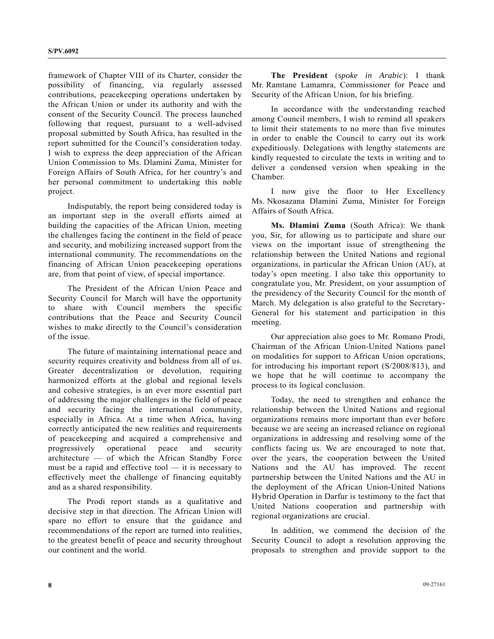framework of Chapter VIII of its Charter, consider the possibility of financing, via regularly assessed contributions, peacekeeping operations undertaken by the African Union or under its authority and with the consent of the Security Council. The process launched following that request, pursuant to a well-advised proposal submitted by South Africa, has resulted in the report submitted for the Council's consideration today. I wish to express the deep appreciation of the African Union Commission to Ms. Dlamini Zuma, Minister for Foreign Affairs of South Africa, for her country's and her personal commitment to undertaking this noble project.

 Indisputably, the report being considered today is an important step in the overall efforts aimed at building the capacities of the African Union, meeting the challenges facing the continent in the field of peace and security, and mobilizing increased support from the international community. The recommendations on the financing of African Union peacekeeping operations are, from that point of view, of special importance.

 The President of the African Union Peace and Security Council for March will have the opportunity to share with Council members the specific contributions that the Peace and Security Council wishes to make directly to the Council's consideration of the issue.

 The future of maintaining international peace and security requires creativity and boldness from all of us. Greater decentralization or devolution, requiring harmonized efforts at the global and regional levels and cohesive strategies, is an ever more essential part of addressing the major challenges in the field of peace and security facing the international community, especially in Africa. At a time when Africa, having correctly anticipated the new realities and requirements of peacekeeping and acquired a comprehensive and progressively operational peace and security architecture — of which the African Standby Force must be a rapid and effective tool — it is necessary to effectively meet the challenge of financing equitably and as a shared responsibility.

 The Prodi report stands as a qualitative and decisive step in that direction. The African Union will spare no effort to ensure that the guidance and recommendations of the report are turned into realities, to the greatest benefit of peace and security throughout our continent and the world.

**The President** (*spoke in Arabic*): I thank Mr. Ramtane Lamamra, Commissioner for Peace and Security of the African Union, for his briefing.

 In accordance with the understanding reached among Council members, I wish to remind all speakers to limit their statements to no more than five minutes in order to enable the Council to carry out its work expeditiously. Delegations with lengthy statements are kindly requested to circulate the texts in writing and to deliver a condensed version when speaking in the Chamber.

 I now give the floor to Her Excellency Ms. Nkosazana Dlamini Zuma, Minister for Foreign Affairs of South Africa.

**Ms. Dlamini Zuma** (South Africa): We thank you, Sir, for allowing us to participate and share our views on the important issue of strengthening the relationship between the United Nations and regional organizations, in particular the African Union (AU), at today's open meeting. I also take this opportunity to congratulate you, Mr. President, on your assumption of the presidency of the Security Council for the month of March. My delegation is also grateful to the Secretary-General for his statement and participation in this meeting.

 Our appreciation also goes to Mr. Romano Prodi, Chairman of the African Union-United Nations panel on modalities for support to African Union operations, for introducing his important report (S/2008/813), and we hope that he will continue to accompany the process to its logical conclusion.

 Today, the need to strengthen and enhance the relationship between the United Nations and regional organizations remains more important than ever before because we are seeing an increased reliance on regional organizations in addressing and resolving some of the conflicts facing us. We are encouraged to note that, over the years, the cooperation between the United Nations and the AU has improved. The recent partnership between the United Nations and the AU in the deployment of the African Union-United Nations Hybrid Operation in Darfur is testimony to the fact that United Nations cooperation and partnership with regional organizations are crucial.

 In addition, we commend the decision of the Security Council to adopt a resolution approving the proposals to strengthen and provide support to the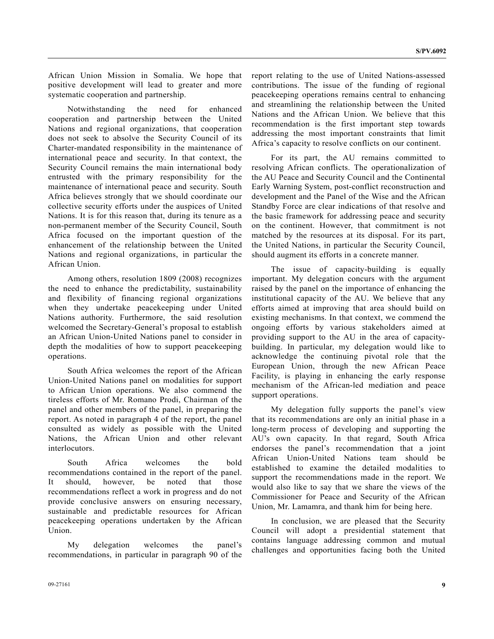African Union Mission in Somalia. We hope that positive development will lead to greater and more systematic cooperation and partnership.

 Notwithstanding the need for enhanced cooperation and partnership between the United Nations and regional organizations, that cooperation does not seek to absolve the Security Council of its Charter-mandated responsibility in the maintenance of international peace and security. In that context, the Security Council remains the main international body entrusted with the primary responsibility for the maintenance of international peace and security. South Africa believes strongly that we should coordinate our collective security efforts under the auspices of United Nations. It is for this reason that, during its tenure as a non-permanent member of the Security Council, South Africa focused on the important question of the enhancement of the relationship between the United Nations and regional organizations, in particular the African Union.

 Among others, resolution 1809 (2008) recognizes the need to enhance the predictability, sustainability and flexibility of financing regional organizations when they undertake peacekeeping under United Nations authority. Furthermore, the said resolution welcomed the Secretary-General's proposal to establish an African Union-United Nations panel to consider in depth the modalities of how to support peacekeeping operations.

 South Africa welcomes the report of the African Union-United Nations panel on modalities for support to African Union operations. We also commend the tireless efforts of Mr. Romano Prodi, Chairman of the panel and other members of the panel, in preparing the report. As noted in paragraph 4 of the report, the panel consulted as widely as possible with the United Nations, the African Union and other relevant **interlocutors** 

 South Africa welcomes the bold recommendations contained in the report of the panel. It should, however, be noted that those recommendations reflect a work in progress and do not provide conclusive answers on ensuring necessary, sustainable and predictable resources for African peacekeeping operations undertaken by the African Union.

 My delegation welcomes the panel's recommendations, in particular in paragraph 90 of the report relating to the use of United Nations-assessed contributions. The issue of the funding of regional peacekeeping operations remains central to enhancing and streamlining the relationship between the United Nations and the African Union. We believe that this recommendation is the first important step towards addressing the most important constraints that limit Africa's capacity to resolve conflicts on our continent.

 For its part, the AU remains committed to resolving African conflicts. The operationalization of the AU Peace and Security Council and the Continental Early Warning System, post-conflict reconstruction and development and the Panel of the Wise and the African Standby Force are clear indications of that resolve and the basic framework for addressing peace and security on the continent. However, that commitment is not matched by the resources at its disposal. For its part, the United Nations, in particular the Security Council, should augment its efforts in a concrete manner.

 The issue of capacity-building is equally important. My delegation concurs with the argument raised by the panel on the importance of enhancing the institutional capacity of the AU. We believe that any efforts aimed at improving that area should build on existing mechanisms. In that context, we commend the ongoing efforts by various stakeholders aimed at providing support to the AU in the area of capacitybuilding. In particular, my delegation would like to acknowledge the continuing pivotal role that the European Union, through the new African Peace Facility, is playing in enhancing the early response mechanism of the African-led mediation and peace support operations.

 My delegation fully supports the panel's view that its recommendations are only an initial phase in a long-term process of developing and supporting the AU's own capacity. In that regard, South Africa endorses the panel's recommendation that a joint African Union-United Nations team should be established to examine the detailed modalities to support the recommendations made in the report. We would also like to say that we share the views of the Commissioner for Peace and Security of the African Union, Mr. Lamamra, and thank him for being here.

 In conclusion, we are pleased that the Security Council will adopt a presidential statement that contains language addressing common and mutual challenges and opportunities facing both the United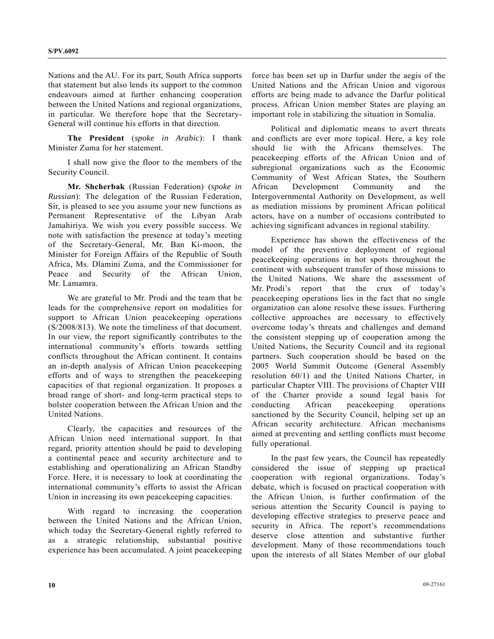Nations and the AU. For its part, South Africa supports that statement but also lends its support to the common endeavours aimed at further enhancing cooperation between the United Nations and regional organizations, in particular. We therefore hope that the Secretary-General will continue his efforts in that direction.

**The President** (*spoke in Arabic*): I thank Minister Zuma for her statement.

 I shall now give the floor to the members of the Security Council.

 **Mr. Shcherbak** (Russian Federation) (*spoke in Russian*): The delegation of the Russian Federation, Sir, is pleased to see you assume your new functions as Permanent Representative of the Libyan Arab Jamahiriya. We wish you every possible success. We note with satisfaction the presence at today's meeting of the Secretary-General, Mr. Ban Ki-moon, the Minister for Foreign Affairs of the Republic of South Africa, Ms. Dlamini Zuma, and the Commissioner for Peace and Security of the African Union, Mr. Lamamra.

 We are grateful to Mr. Prodi and the team that he leads for the comprehensive report on modalities for support to African Union peacekeeping operations (S/2008/813). We note the timeliness of that document. In our view, the report significantly contributes to the international community's efforts towards settling conflicts throughout the African continent. It contains an in-depth analysis of African Union peacekeeping efforts and of ways to strengthen the peacekeeping capacities of that regional organization. It proposes a broad range of short- and long-term practical steps to bolster cooperation between the African Union and the United Nations.

 Clearly, the capacities and resources of the African Union need international support. In that regard, priority attention should be paid to developing a continental peace and security architecture and to establishing and operationalizing an African Standby Force. Here, it is necessary to look at coordinating the international community's efforts to assist the African Union in increasing its own peacekeeping capacities.

 With regard to increasing the cooperation between the United Nations and the African Union, which today the Secretary-General rightly referred to as a strategic relationship, substantial positive experience has been accumulated. A joint peacekeeping

force has been set up in Darfur under the aegis of the United Nations and the African Union and vigorous efforts are being made to advance the Darfur political process. African Union member States are playing an important role in stabilizing the situation in Somalia.

 Political and diplomatic means to avert threats and conflicts are ever more topical. Here, a key role should lie with the Africans themselves. The peacekeeping efforts of the African Union and of subregional organizations such as the Economic Community of West African States, the Southern African Development Community and the Intergovernmental Authority on Development, as well as mediation missions by prominent African political actors, have on a number of occasions contributed to achieving significant advances in regional stability.

 Experience has shown the effectiveness of the model of the preventive deployment of regional peacekeeping operations in hot spots throughout the continent with subsequent transfer of those missions to the United Nations. We share the assessment of Mr. Prodi's report that the crux of today's peacekeeping operations lies in the fact that no single organization can alone resolve these issues. Furthering collective approaches are necessary to effectively overcome today's threats and challenges and demand the consistent stepping up of cooperation among the United Nations, the Security Council and its regional partners. Such cooperation should be based on the 2005 World Summit Outcome (General Assembly resolution 60/1) and the United Nations Charter, in particular Chapter VIII. The provisions of Chapter VIII of the Charter provide a sound legal basis for conducting African peacekeeping operations sanctioned by the Security Council, helping set up an African security architecture. African mechanisms aimed at preventing and settling conflicts must become fully operational.

 In the past few years, the Council has repeatedly considered the issue of stepping up practical cooperation with regional organizations. Today's debate, which is focused on practical cooperation with the African Union, is further confirmation of the serious attention the Security Council is paying to developing effective strategies to preserve peace and security in Africa. The report's recommendations deserve close attention and substantive further development. Many of those recommendations touch upon the interests of all States Member of our global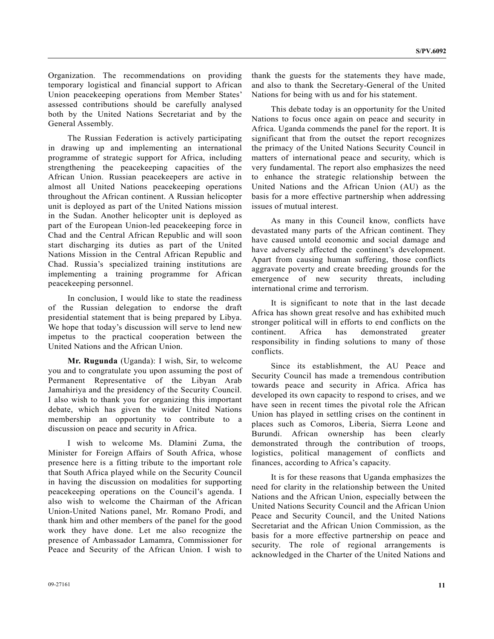Organization. The recommendations on providing temporary logistical and financial support to African Union peacekeeping operations from Member States' assessed contributions should be carefully analysed both by the United Nations Secretariat and by the General Assembly.

 The Russian Federation is actively participating in drawing up and implementing an international programme of strategic support for Africa, including strengthening the peacekeeping capacities of the African Union. Russian peacekeepers are active in almost all United Nations peacekeeping operations throughout the African continent. A Russian helicopter unit is deployed as part of the United Nations mission in the Sudan. Another helicopter unit is deployed as part of the European Union-led peacekeeping force in Chad and the Central African Republic and will soon start discharging its duties as part of the United Nations Mission in the Central African Republic and Chad. Russia's specialized training institutions are implementing a training programme for African peacekeeping personnel.

 In conclusion, I would like to state the readiness of the Russian delegation to endorse the draft presidential statement that is being prepared by Libya. We hope that today's discussion will serve to lend new impetus to the practical cooperation between the United Nations and the African Union.

**Mr. Rugunda** (Uganda): I wish, Sir, to welcome you and to congratulate you upon assuming the post of Permanent Representative of the Libyan Arab Jamahiriya and the presidency of the Security Council. I also wish to thank you for organizing this important debate, which has given the wider United Nations membership an opportunity to contribute to a discussion on peace and security in Africa.

 I wish to welcome Ms. Dlamini Zuma, the Minister for Foreign Affairs of South Africa, whose presence here is a fitting tribute to the important role that South Africa played while on the Security Council in having the discussion on modalities for supporting peacekeeping operations on the Council's agenda. I also wish to welcome the Chairman of the African Union-United Nations panel, Mr. Romano Prodi, and thank him and other members of the panel for the good work they have done. Let me also recognize the presence of Ambassador Lamamra, Commissioner for Peace and Security of the African Union. I wish to

09-27161 **11** 

thank the guests for the statements they have made, and also to thank the Secretary-General of the United Nations for being with us and for his statement.

 This debate today is an opportunity for the United Nations to focus once again on peace and security in Africa. Uganda commends the panel for the report. It is significant that from the outset the report recognizes the primacy of the United Nations Security Council in matters of international peace and security, which is very fundamental. The report also emphasizes the need to enhance the strategic relationship between the United Nations and the African Union (AU) as the basis for a more effective partnership when addressing issues of mutual interest.

 As many in this Council know, conflicts have devastated many parts of the African continent. They have caused untold economic and social damage and have adversely affected the continent's development. Apart from causing human suffering, those conflicts aggravate poverty and create breeding grounds for the emergence of new security threats, including international crime and terrorism.

 It is significant to note that in the last decade Africa has shown great resolve and has exhibited much stronger political will in efforts to end conflicts on the continent. Africa has demonstrated greater responsibility in finding solutions to many of those conflicts.

 Since its establishment, the AU Peace and Security Council has made a tremendous contribution towards peace and security in Africa. Africa has developed its own capacity to respond to crises, and we have seen in recent times the pivotal role the African Union has played in settling crises on the continent in places such as Comoros, Liberia, Sierra Leone and Burundi. African ownership has been clearly demonstrated through the contribution of troops, logistics, political management of conflicts and finances, according to Africa's capacity.

 It is for these reasons that Uganda emphasizes the need for clarity in the relationship between the United Nations and the African Union, especially between the United Nations Security Council and the African Union Peace and Security Council, and the United Nations Secretariat and the African Union Commission, as the basis for a more effective partnership on peace and security. The role of regional arrangements is acknowledged in the Charter of the United Nations and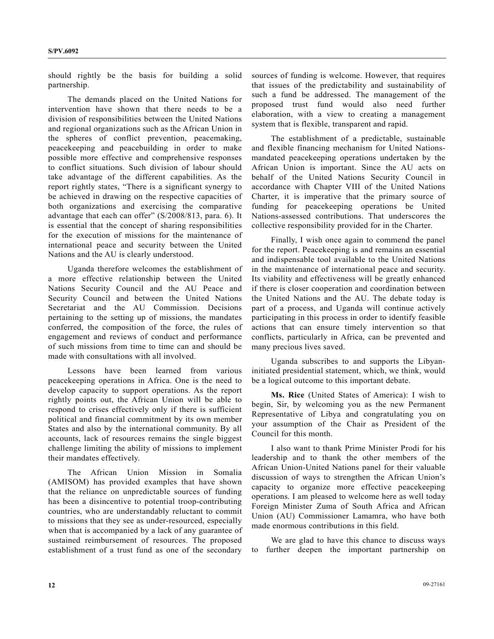should rightly be the basis for building a solid partnership.

 The demands placed on the United Nations for intervention have shown that there needs to be a division of responsibilities between the United Nations and regional organizations such as the African Union in the spheres of conflict prevention, peacemaking, peacekeeping and peacebuilding in order to make possible more effective and comprehensive responses to conflict situations. Such division of labour should take advantage of the different capabilities. As the report rightly states, "There is a significant synergy to be achieved in drawing on the respective capacities of both organizations and exercising the comparative advantage that each can offer" (S/2008/813, para. 6). It is essential that the concept of sharing responsibilities for the execution of missions for the maintenance of international peace and security between the United Nations and the AU is clearly understood.

 Uganda therefore welcomes the establishment of a more effective relationship between the United Nations Security Council and the AU Peace and Security Council and between the United Nations Secretariat and the AU Commission. Decisions pertaining to the setting up of missions, the mandates conferred, the composition of the force, the rules of engagement and reviews of conduct and performance of such missions from time to time can and should be made with consultations with all involved.

 Lessons have been learned from various peacekeeping operations in Africa. One is the need to develop capacity to support operations. As the report rightly points out, the African Union will be able to respond to crises effectively only if there is sufficient political and financial commitment by its own member States and also by the international community. By all accounts, lack of resources remains the single biggest challenge limiting the ability of missions to implement their mandates effectively.

 The African Union Mission in Somalia (AMISOM) has provided examples that have shown that the reliance on unpredictable sources of funding has been a disincentive to potential troop-contributing countries, who are understandably reluctant to commit to missions that they see as under-resourced, especially when that is accompanied by a lack of any guarantee of sustained reimbursement of resources. The proposed establishment of a trust fund as one of the secondary

sources of funding is welcome. However, that requires that issues of the predictability and sustainability of such a fund be addressed. The management of the proposed trust fund would also need further elaboration, with a view to creating a management system that is flexible, transparent and rapid.

 The establishment of a predictable, sustainable and flexible financing mechanism for United Nationsmandated peacekeeping operations undertaken by the African Union is important. Since the AU acts on behalf of the United Nations Security Council in accordance with Chapter VIII of the United Nations Charter, it is imperative that the primary source of funding for peacekeeping operations be United Nations-assessed contributions. That underscores the collective responsibility provided for in the Charter.

 Finally, I wish once again to commend the panel for the report. Peacekeeping is and remains an essential and indispensable tool available to the United Nations in the maintenance of international peace and security. Its viability and effectiveness will be greatly enhanced if there is closer cooperation and coordination between the United Nations and the AU. The debate today is part of a process, and Uganda will continue actively participating in this process in order to identify feasible actions that can ensure timely intervention so that conflicts, particularly in Africa, can be prevented and many precious lives saved.

 Uganda subscribes to and supports the Libyaninitiated presidential statement, which, we think, would be a logical outcome to this important debate.

**Ms. Rice** (United States of America): I wish to begin, Sir, by welcoming you as the new Permanent Representative of Libya and congratulating you on your assumption of the Chair as President of the Council for this month.

 I also want to thank Prime Minister Prodi for his leadership and to thank the other members of the African Union-United Nations panel for their valuable discussion of ways to strengthen the African Union's capacity to organize more effective peacekeeping operations. I am pleased to welcome here as well today Foreign Minister Zuma of South Africa and African Union (AU) Commissioner Lamamra, who have both made enormous contributions in this field.

 We are glad to have this chance to discuss ways to further deepen the important partnership on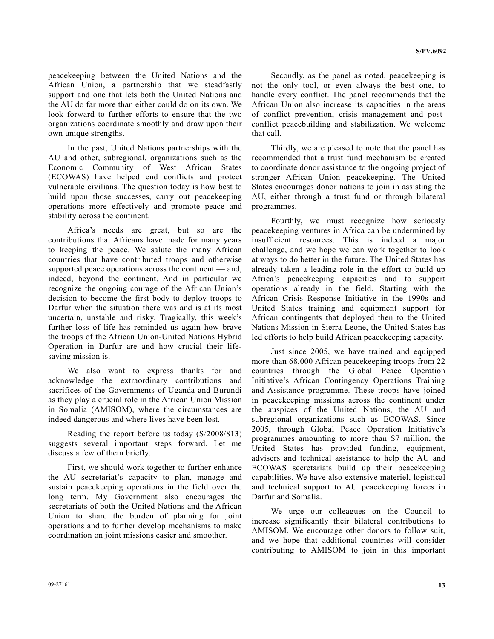peacekeeping between the United Nations and the African Union, a partnership that we steadfastly support and one that lets both the United Nations and the AU do far more than either could do on its own. We look forward to further efforts to ensure that the two organizations coordinate smoothly and draw upon their own unique strengths.

 In the past, United Nations partnerships with the AU and other, subregional, organizations such as the Economic Community of West African States (ECOWAS) have helped end conflicts and protect vulnerable civilians. The question today is how best to build upon those successes, carry out peacekeeping operations more effectively and promote peace and stability across the continent.

 Africa's needs are great, but so are the contributions that Africans have made for many years to keeping the peace. We salute the many African countries that have contributed troops and otherwise supported peace operations across the continent — and, indeed, beyond the continent. And in particular we recognize the ongoing courage of the African Union's decision to become the first body to deploy troops to Darfur when the situation there was and is at its most uncertain, unstable and risky. Tragically, this week's further loss of life has reminded us again how brave the troops of the African Union-United Nations Hybrid Operation in Darfur are and how crucial their lifesaving mission is.

 We also want to express thanks for and acknowledge the extraordinary contributions and sacrifices of the Governments of Uganda and Burundi as they play a crucial role in the African Union Mission in Somalia (AMISOM), where the circumstances are indeed dangerous and where lives have been lost.

 Reading the report before us today (S/2008/813) suggests several important steps forward. Let me discuss a few of them briefly.

 First, we should work together to further enhance the AU secretariat's capacity to plan, manage and sustain peacekeeping operations in the field over the long term. My Government also encourages the secretariats of both the United Nations and the African Union to share the burden of planning for joint operations and to further develop mechanisms to make coordination on joint missions easier and smoother.

 Secondly, as the panel as noted, peacekeeping is not the only tool, or even always the best one, to handle every conflict. The panel recommends that the African Union also increase its capacities in the areas of conflict prevention, crisis management and postconflict peacebuilding and stabilization. We welcome that call.

 Thirdly, we are pleased to note that the panel has recommended that a trust fund mechanism be created to coordinate donor assistance to the ongoing project of stronger African Union peacekeeping. The United States encourages donor nations to join in assisting the AU, either through a trust fund or through bilateral programmes.

 Fourthly, we must recognize how seriously peacekeeping ventures in Africa can be undermined by insufficient resources. This is indeed a major challenge, and we hope we can work together to look at ways to do better in the future. The United States has already taken a leading role in the effort to build up Africa's peacekeeping capacities and to support operations already in the field. Starting with the African Crisis Response Initiative in the 1990s and United States training and equipment support for African contingents that deployed then to the United Nations Mission in Sierra Leone, the United States has led efforts to help build African peacekeeping capacity.

 Just since 2005, we have trained and equipped more than 68,000 African peacekeeping troops from 22 countries through the Global Peace Operation Initiative's African Contingency Operations Training and Assistance programme. These troops have joined in peacekeeping missions across the continent under the auspices of the United Nations, the AU and subregional organizations such as ECOWAS. Since 2005, through Global Peace Operation Initiative's programmes amounting to more than \$7 million, the United States has provided funding, equipment, advisers and technical assistance to help the AU and ECOWAS secretariats build up their peacekeeping capabilities. We have also extensive materiel, logistical and technical support to AU peacekeeping forces in Darfur and Somalia.

 We urge our colleagues on the Council to increase significantly their bilateral contributions to AMISOM. We encourage other donors to follow suit, and we hope that additional countries will consider contributing to AMISOM to join in this important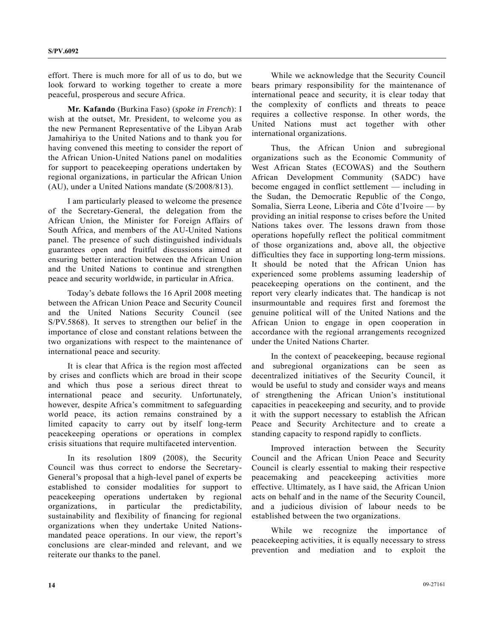effort. There is much more for all of us to do, but we look forward to working together to create a more peaceful, prosperous and secure Africa.

**Mr. Kafando** (Burkina Faso) (*spoke in French*): I wish at the outset, Mr. President, to welcome you as the new Permanent Representative of the Libyan Arab Jamahiriya to the United Nations and to thank you for having convened this meeting to consider the report of the African Union-United Nations panel on modalities for support to peacekeeping operations undertaken by regional organizations, in particular the African Union (AU), under a United Nations mandate (S/2008/813).

 I am particularly pleased to welcome the presence of the Secretary-General, the delegation from the African Union, the Minister for Foreign Affairs of South Africa, and members of the AU-United Nations panel. The presence of such distinguished individuals guarantees open and fruitful discussions aimed at ensuring better interaction between the African Union and the United Nations to continue and strengthen peace and security worldwide, in particular in Africa.

 Today's debate follows the 16 April 2008 meeting between the African Union Peace and Security Council and the United Nations Security Council (see S/PV.5868). It serves to strengthen our belief in the importance of close and constant relations between the two organizations with respect to the maintenance of international peace and security.

 It is clear that Africa is the region most affected by crises and conflicts which are broad in their scope and which thus pose a serious direct threat to international peace and security. Unfortunately, however, despite Africa's commitment to safeguarding world peace, its action remains constrained by a limited capacity to carry out by itself long-term peacekeeping operations or operations in complex crisis situations that require multifaceted intervention.

 In its resolution 1809 (2008), the Security Council was thus correct to endorse the Secretary-General's proposal that a high-level panel of experts be established to consider modalities for support to peacekeeping operations undertaken by regional organizations, in particular the predictability, sustainability and flexibility of financing for regional organizations when they undertake United Nationsmandated peace operations. In our view, the report's conclusions are clear-minded and relevant, and we reiterate our thanks to the panel.

 While we acknowledge that the Security Council bears primary responsibility for the maintenance of international peace and security, it is clear today that the complexity of conflicts and threats to peace requires a collective response. In other words, the United Nations must act together with other international organizations.

 Thus, the African Union and subregional organizations such as the Economic Community of West African States (ECOWAS) and the Southern African Development Community (SADC) have become engaged in conflict settlement — including in the Sudan, the Democratic Republic of the Congo, Somalia, Sierra Leone, Liberia and Côte d'Ivoire — by providing an initial response to crises before the United Nations takes over. The lessons drawn from those operations hopefully reflect the political commitment of those organizations and, above all, the objective difficulties they face in supporting long-term missions. It should be noted that the African Union has experienced some problems assuming leadership of peacekeeping operations on the continent, and the report very clearly indicates that. The handicap is not insurmountable and requires first and foremost the genuine political will of the United Nations and the African Union to engage in open cooperation in accordance with the regional arrangements recognized under the United Nations Charter.

 In the context of peacekeeping, because regional and subregional organizations can be seen as decentralized initiatives of the Security Council, it would be useful to study and consider ways and means of strengthening the African Union's institutional capacities in peacekeeping and security, and to provide it with the support necessary to establish the African Peace and Security Architecture and to create a standing capacity to respond rapidly to conflicts.

 Improved interaction between the Security Council and the African Union Peace and Security Council is clearly essential to making their respective peacemaking and peacekeeping activities more effective. Ultimately, as I have said, the African Union acts on behalf and in the name of the Security Council, and a judicious division of labour needs to be established between the two organizations.

 While we recognize the importance of peacekeeping activities, it is equally necessary to stress prevention and mediation and to exploit the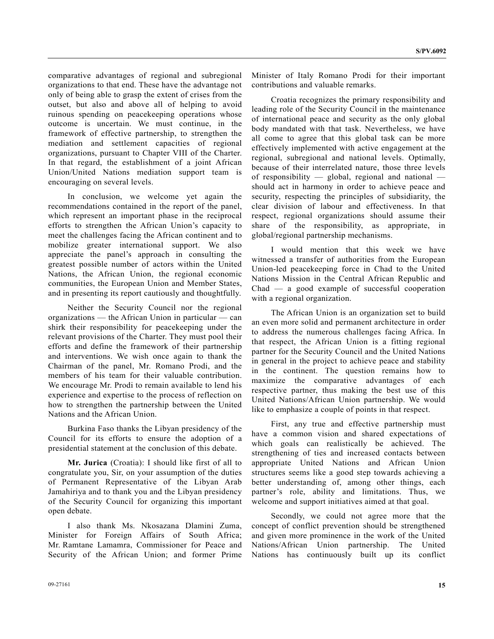comparative advantages of regional and subregional organizations to that end. These have the advantage not only of being able to grasp the extent of crises from the outset, but also and above all of helping to avoid ruinous spending on peacekeeping operations whose outcome is uncertain. We must continue, in the framework of effective partnership, to strengthen the mediation and settlement capacities of regional organizations, pursuant to Chapter VIII of the Charter. In that regard, the establishment of a joint African Union/United Nations mediation support team is encouraging on several levels.

 In conclusion, we welcome yet again the recommendations contained in the report of the panel, which represent an important phase in the reciprocal efforts to strengthen the African Union's capacity to meet the challenges facing the African continent and to mobilize greater international support. We also appreciate the panel's approach in consulting the greatest possible number of actors within the United Nations, the African Union, the regional economic communities, the European Union and Member States, and in presenting its report cautiously and thoughtfully.

 Neither the Security Council nor the regional organizations — the African Union in particular — can shirk their responsibility for peacekeeping under the relevant provisions of the Charter. They must pool their efforts and define the framework of their partnership and interventions. We wish once again to thank the Chairman of the panel, Mr. Romano Prodi, and the members of his team for their valuable contribution. We encourage Mr. Prodi to remain available to lend his experience and expertise to the process of reflection on how to strengthen the partnership between the United Nations and the African Union.

 Burkina Faso thanks the Libyan presidency of the Council for its efforts to ensure the adoption of a presidential statement at the conclusion of this debate.

**Mr. Jurica** (Croatia): I should like first of all to congratulate you, Sir, on your assumption of the duties of Permanent Representative of the Libyan Arab Jamahiriya and to thank you and the Libyan presidency of the Security Council for organizing this important open debate.

 I also thank Ms. Nkosazana Dlamini Zuma, Minister for Foreign Affairs of South Africa; Mr. Ramtane Lamamra, Commissioner for Peace and Security of the African Union; and former Prime

Minister of Italy Romano Prodi for their important contributions and valuable remarks.

 Croatia recognizes the primary responsibility and leading role of the Security Council in the maintenance of international peace and security as the only global body mandated with that task. Nevertheless, we have all come to agree that this global task can be more effectively implemented with active engagement at the regional, subregional and national levels. Optimally, because of their interrelated nature, those three levels of responsibility — global, regional and national should act in harmony in order to achieve peace and security, respecting the principles of subsidiarity, the clear division of labour and effectiveness. In that respect, regional organizations should assume their share of the responsibility, as appropriate, in global/regional partnership mechanisms.

 I would mention that this week we have witnessed a transfer of authorities from the European Union-led peacekeeping force in Chad to the United Nations Mission in the Central African Republic and Chad — a good example of successful cooperation with a regional organization.

 The African Union is an organization set to build an even more solid and permanent architecture in order to address the numerous challenges facing Africa. In that respect, the African Union is a fitting regional partner for the Security Council and the United Nations in general in the project to achieve peace and stability in the continent. The question remains how to maximize the comparative advantages of each respective partner, thus making the best use of this United Nations/African Union partnership. We would like to emphasize a couple of points in that respect.

 First, any true and effective partnership must have a common vision and shared expectations of which goals can realistically be achieved. The strengthening of ties and increased contacts between appropriate United Nations and African Union structures seems like a good step towards achieving a better understanding of, among other things, each partner's role, ability and limitations. Thus, we welcome and support initiatives aimed at that goal.

 Secondly, we could not agree more that the concept of conflict prevention should be strengthened and given more prominence in the work of the United Nations/African Union partnership. The United Nations has continuously built up its conflict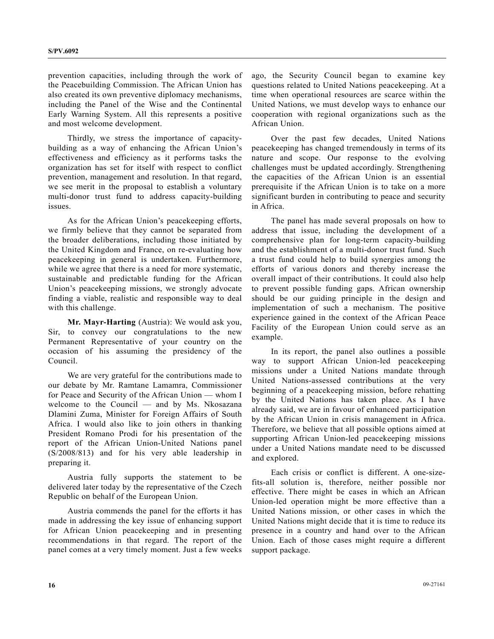prevention capacities, including through the work of the Peacebuilding Commission. The African Union has also created its own preventive diplomacy mechanisms, including the Panel of the Wise and the Continental Early Warning System. All this represents a positive and most welcome development.

 Thirdly, we stress the importance of capacitybuilding as a way of enhancing the African Union's effectiveness and efficiency as it performs tasks the organization has set for itself with respect to conflict prevention, management and resolution. In that regard, we see merit in the proposal to establish a voluntary multi-donor trust fund to address capacity-building issues.

 As for the African Union's peacekeeping efforts, we firmly believe that they cannot be separated from the broader deliberations, including those initiated by the United Kingdom and France, on re-evaluating how peacekeeping in general is undertaken. Furthermore, while we agree that there is a need for more systematic, sustainable and predictable funding for the African Union's peacekeeping missions, we strongly advocate finding a viable, realistic and responsible way to deal with this challenge.

**Mr. Mayr-Harting** (Austria): We would ask you, Sir, to convey our congratulations to the new Permanent Representative of your country on the occasion of his assuming the presidency of the Council.

 We are very grateful for the contributions made to our debate by Mr. Ramtane Lamamra, Commissioner for Peace and Security of the African Union — whom I welcome to the Council — and by Ms. Nkosazana Dlamini Zuma, Minister for Foreign Affairs of South Africa. I would also like to join others in thanking President Romano Prodi for his presentation of the report of the African Union-United Nations panel (S/2008/813) and for his very able leadership in preparing it.

 Austria fully supports the statement to be delivered later today by the representative of the Czech Republic on behalf of the European Union.

 Austria commends the panel for the efforts it has made in addressing the key issue of enhancing support for African Union peacekeeping and in presenting recommendations in that regard. The report of the panel comes at a very timely moment. Just a few weeks ago, the Security Council began to examine key questions related to United Nations peacekeeping. At a time when operational resources are scarce within the United Nations, we must develop ways to enhance our cooperation with regional organizations such as the African Union.

 Over the past few decades, United Nations peacekeeping has changed tremendously in terms of its nature and scope. Our response to the evolving challenges must be updated accordingly. Strengthening the capacities of the African Union is an essential prerequisite if the African Union is to take on a more significant burden in contributing to peace and security in Africa.

 The panel has made several proposals on how to address that issue, including the development of a comprehensive plan for long-term capacity-building and the establishment of a multi-donor trust fund. Such a trust fund could help to build synergies among the efforts of various donors and thereby increase the overall impact of their contributions. It could also help to prevent possible funding gaps. African ownership should be our guiding principle in the design and implementation of such a mechanism. The positive experience gained in the context of the African Peace Facility of the European Union could serve as an example.

 In its report, the panel also outlines a possible way to support African Union-led peacekeeping missions under a United Nations mandate through United Nations-assessed contributions at the very beginning of a peacekeeping mission, before rehatting by the United Nations has taken place. As I have already said, we are in favour of enhanced participation by the African Union in crisis management in Africa. Therefore, we believe that all possible options aimed at supporting African Union-led peacekeeping missions under a United Nations mandate need to be discussed and explored.

 Each crisis or conflict is different. A one-sizefits-all solution is, therefore, neither possible nor effective. There might be cases in which an African Union-led operation might be more effective than a United Nations mission, or other cases in which the United Nations might decide that it is time to reduce its presence in a country and hand over to the African Union. Each of those cases might require a different support package.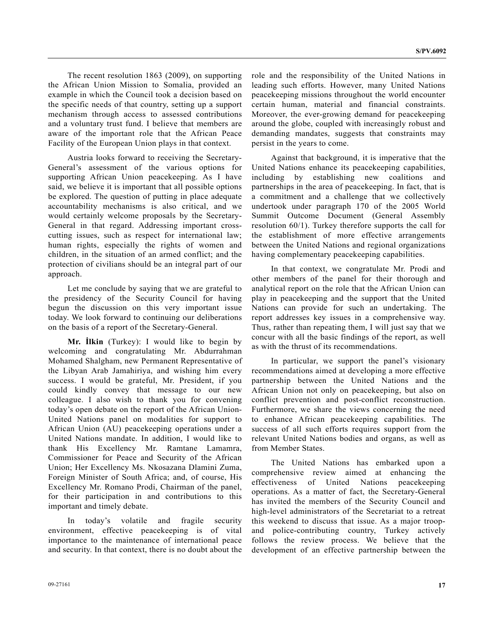The recent resolution 1863 (2009), on supporting the African Union Mission to Somalia, provided an example in which the Council took a decision based on the specific needs of that country, setting up a support mechanism through access to assessed contributions and a voluntary trust fund. I believe that members are aware of the important role that the African Peace Facility of the European Union plays in that context.

 Austria looks forward to receiving the Secretary-General's assessment of the various options for supporting African Union peacekeeping. As I have said, we believe it is important that all possible options be explored. The question of putting in place adequate accountability mechanisms is also critical, and we would certainly welcome proposals by the Secretary-General in that regard. Addressing important crosscutting issues, such as respect for international law; human rights, especially the rights of women and children, in the situation of an armed conflict; and the protection of civilians should be an integral part of our approach.

 Let me conclude by saying that we are grateful to the presidency of the Security Council for having begun the discussion on this very important issue today. We look forward to continuing our deliberations on the basis of a report of the Secretary-General.

 **Mr. İlkin** (Turkey): I would like to begin by welcoming and congratulating Mr. Abdurrahman Mohamed Shalgham, new Permanent Representative of the Libyan Arab Jamahiriya, and wishing him every success. I would be grateful, Mr. President, if you could kindly convey that message to our new colleague. I also wish to thank you for convening today's open debate on the report of the African Union-United Nations panel on modalities for support to African Union (AU) peacekeeping operations under a United Nations mandate. In addition, I would like to thank His Excellency Mr. Ramtane Lamamra, Commissioner for Peace and Security of the African Union; Her Excellency Ms. Nkosazana Dlamini Zuma, Foreign Minister of South Africa; and, of course, His Excellency Mr. Romano Prodi, Chairman of the panel, for their participation in and contributions to this important and timely debate.

 In today's volatile and fragile security environment, effective peacekeeping is of vital importance to the maintenance of international peace and security. In that context, there is no doubt about the role and the responsibility of the United Nations in leading such efforts. However, many United Nations peacekeeping missions throughout the world encounter certain human, material and financial constraints. Moreover, the ever-growing demand for peacekeeping around the globe, coupled with increasingly robust and demanding mandates, suggests that constraints may persist in the years to come.

 Against that background, it is imperative that the United Nations enhance its peacekeeping capabilities, including by establishing new coalitions and partnerships in the area of peacekeeping. In fact, that is a commitment and a challenge that we collectively undertook under paragraph 170 of the 2005 World Summit Outcome Document (General Assembly resolution 60/1). Turkey therefore supports the call for the establishment of more effective arrangements between the United Nations and regional organizations having complementary peacekeeping capabilities.

 In that context, we congratulate Mr. Prodi and other members of the panel for their thorough and analytical report on the role that the African Union can play in peacekeeping and the support that the United Nations can provide for such an undertaking. The report addresses key issues in a comprehensive way. Thus, rather than repeating them, I will just say that we concur with all the basic findings of the report, as well as with the thrust of its recommendations.

 In particular, we support the panel's visionary recommendations aimed at developing a more effective partnership between the United Nations and the African Union not only on peacekeeping, but also on conflict prevention and post-conflict reconstruction. Furthermore, we share the views concerning the need to enhance African peacekeeping capabilities. The success of all such efforts requires support from the relevant United Nations bodies and organs, as well as from Member States.

 The United Nations has embarked upon a comprehensive review aimed at enhancing the effectiveness of United Nations peacekeeping operations. As a matter of fact, the Secretary-General has invited the members of the Security Council and high-level administrators of the Secretariat to a retreat this weekend to discuss that issue. As a major troopand police-contributing country, Turkey actively follows the review process. We believe that the development of an effective partnership between the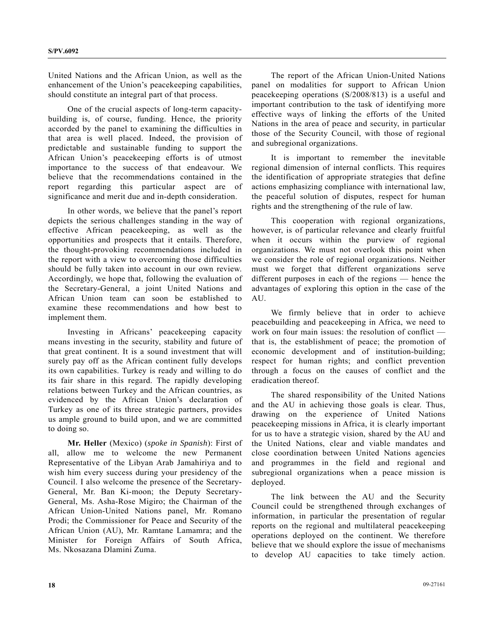United Nations and the African Union, as well as the enhancement of the Union's peacekeeping capabilities, should constitute an integral part of that process.

 One of the crucial aspects of long-term capacitybuilding is, of course, funding. Hence, the priority accorded by the panel to examining the difficulties in that area is well placed. Indeed, the provision of predictable and sustainable funding to support the African Union's peacekeeping efforts is of utmost importance to the success of that endeavour. We believe that the recommendations contained in the report regarding this particular aspect are of significance and merit due and in-depth consideration.

 In other words, we believe that the panel's report depicts the serious challenges standing in the way of effective African peacekeeping, as well as the opportunities and prospects that it entails. Therefore, the thought-provoking recommendations included in the report with a view to overcoming those difficulties should be fully taken into account in our own review. Accordingly, we hope that, following the evaluation of the Secretary-General, a joint United Nations and African Union team can soon be established to examine these recommendations and how best to implement them.

 Investing in Africans' peacekeeping capacity means investing in the security, stability and future of that great continent. It is a sound investment that will surely pay off as the African continent fully develops its own capabilities. Turkey is ready and willing to do its fair share in this regard. The rapidly developing relations between Turkey and the African countries, as evidenced by the African Union's declaration of Turkey as one of its three strategic partners, provides us ample ground to build upon, and we are committed to doing so.

**Mr. Heller** (Mexico) (*spoke in Spanish*): First of all, allow me to welcome the new Permanent Representative of the Libyan Arab Jamahiriya and to wish him every success during your presidency of the Council. I also welcome the presence of the Secretary-General, Mr. Ban Ki-moon; the Deputy Secretary-General, Ms. Asha-Rose Migiro; the Chairman of the African Union-United Nations panel, Mr. Romano Prodi; the Commissioner for Peace and Security of the African Union (AU), Mr. Ramtane Lamamra; and the Minister for Foreign Affairs of South Africa, Ms. Nkosazana Dlamini Zuma.

 The report of the African Union-United Nations panel on modalities for support to African Union peacekeeping operations (S/2008/813) is a useful and important contribution to the task of identifying more effective ways of linking the efforts of the United Nations in the area of peace and security, in particular those of the Security Council, with those of regional and subregional organizations.

 It is important to remember the inevitable regional dimension of internal conflicts. This requires the identification of appropriate strategies that define actions emphasizing compliance with international law, the peaceful solution of disputes, respect for human rights and the strengthening of the rule of law.

 This cooperation with regional organizations, however, is of particular relevance and clearly fruitful when it occurs within the purview of regional organizations. We must not overlook this point when we consider the role of regional organizations. Neither must we forget that different organizations serve different purposes in each of the regions — hence the advantages of exploring this option in the case of the AU.

 We firmly believe that in order to achieve peacebuilding and peacekeeping in Africa, we need to work on four main issues: the resolution of conflict that is, the establishment of peace; the promotion of economic development and of institution-building; respect for human rights; and conflict prevention through a focus on the causes of conflict and the eradication thereof.

 The shared responsibility of the United Nations and the AU in achieving those goals is clear. Thus, drawing on the experience of United Nations peacekeeping missions in Africa, it is clearly important for us to have a strategic vision, shared by the AU and the United Nations, clear and viable mandates and close coordination between United Nations agencies and programmes in the field and regional and subregional organizations when a peace mission is deployed.

 The link between the AU and the Security Council could be strengthened through exchanges of information, in particular the presentation of regular reports on the regional and multilateral peacekeeping operations deployed on the continent. We therefore believe that we should explore the issue of mechanisms to develop AU capacities to take timely action.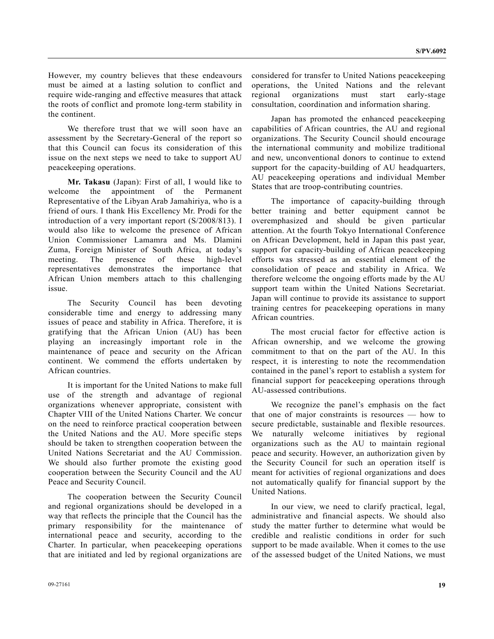However, my country believes that these endeavours must be aimed at a lasting solution to conflict and require wide-ranging and effective measures that attack the roots of conflict and promote long-term stability in the continent.

 We therefore trust that we will soon have an assessment by the Secretary-General of the report so that this Council can focus its consideration of this issue on the next steps we need to take to support AU peacekeeping operations.

**Mr. Takasu** (Japan): First of all, I would like to welcome the appointment of the Permanent Representative of the Libyan Arab Jamahiriya, who is a friend of ours. I thank His Excellency Mr. Prodi for the introduction of a very important report (S/2008/813). I would also like to welcome the presence of African Union Commissioner Lamamra and Ms. Dlamini Zuma, Foreign Minister of South Africa, at today's meeting. The presence of these high-level representatives demonstrates the importance that African Union members attach to this challenging issue.

 The Security Council has been devoting considerable time and energy to addressing many issues of peace and stability in Africa. Therefore, it is gratifying that the African Union (AU) has been playing an increasingly important role in the maintenance of peace and security on the African continent. We commend the efforts undertaken by African countries.

 It is important for the United Nations to make full use of the strength and advantage of regional organizations whenever appropriate, consistent with Chapter VIII of the United Nations Charter. We concur on the need to reinforce practical cooperation between the United Nations and the AU. More specific steps should be taken to strengthen cooperation between the United Nations Secretariat and the AU Commission. We should also further promote the existing good cooperation between the Security Council and the AU Peace and Security Council.

 The cooperation between the Security Council and regional organizations should be developed in a way that reflects the principle that the Council has the primary responsibility for the maintenance of international peace and security, according to the Charter. In particular, when peacekeeping operations that are initiated and led by regional organizations are

considered for transfer to United Nations peacekeeping operations, the United Nations and the relevant regional organizations must start early-stage consultation, coordination and information sharing.

 Japan has promoted the enhanced peacekeeping capabilities of African countries, the AU and regional organizations. The Security Council should encourage the international community and mobilize traditional and new, unconventional donors to continue to extend support for the capacity-building of AU headquarters, AU peacekeeping operations and individual Member States that are troop-contributing countries.

 The importance of capacity-building through better training and better equipment cannot be overemphasized and should be given particular attention. At the fourth Tokyo International Conference on African Development, held in Japan this past year, support for capacity-building of African peacekeeping efforts was stressed as an essential element of the consolidation of peace and stability in Africa. We therefore welcome the ongoing efforts made by the AU support team within the United Nations Secretariat. Japan will continue to provide its assistance to support training centres for peacekeeping operations in many African countries.

 The most crucial factor for effective action is African ownership, and we welcome the growing commitment to that on the part of the AU. In this respect, it is interesting to note the recommendation contained in the panel's report to establish a system for financial support for peacekeeping operations through AU-assessed contributions.

 We recognize the panel's emphasis on the fact that one of major constraints is resources — how to secure predictable, sustainable and flexible resources. We naturally welcome initiatives by regional organizations such as the AU to maintain regional peace and security. However, an authorization given by the Security Council for such an operation itself is meant for activities of regional organizations and does not automatically qualify for financial support by the United Nations.

 In our view, we need to clarify practical, legal, administrative and financial aspects. We should also study the matter further to determine what would be credible and realistic conditions in order for such support to be made available. When it comes to the use of the assessed budget of the United Nations, we must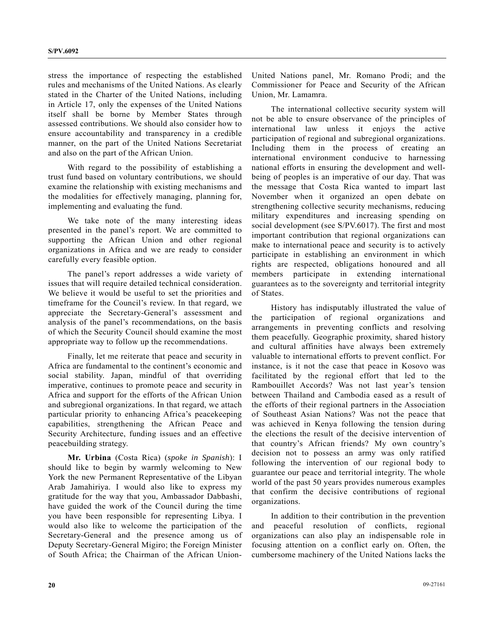stress the importance of respecting the established rules and mechanisms of the United Nations. As clearly stated in the Charter of the United Nations, including in Article 17, only the expenses of the United Nations itself shall be borne by Member States through assessed contributions. We should also consider how to ensure accountability and transparency in a credible manner, on the part of the United Nations Secretariat and also on the part of the African Union.

 With regard to the possibility of establishing a trust fund based on voluntary contributions, we should examine the relationship with existing mechanisms and the modalities for effectively managing, planning for, implementing and evaluating the fund.

 We take note of the many interesting ideas presented in the panel's report. We are committed to supporting the African Union and other regional organizations in Africa and we are ready to consider carefully every feasible option.

 The panel's report addresses a wide variety of issues that will require detailed technical consideration. We believe it would be useful to set the priorities and timeframe for the Council's review. In that regard, we appreciate the Secretary-General's assessment and analysis of the panel's recommendations, on the basis of which the Security Council should examine the most appropriate way to follow up the recommendations.

 Finally, let me reiterate that peace and security in Africa are fundamental to the continent's economic and social stability. Japan, mindful of that overriding imperative, continues to promote peace and security in Africa and support for the efforts of the African Union and subregional organizations. In that regard, we attach particular priority to enhancing Africa's peacekeeping capabilities, strengthening the African Peace and Security Architecture, funding issues and an effective peacebuilding strategy.

**Mr. Urbina** (Costa Rica) (*spoke in Spanish*): I should like to begin by warmly welcoming to New York the new Permanent Representative of the Libyan Arab Jamahiriya. I would also like to express my gratitude for the way that you, Ambassador Dabbashi, have guided the work of the Council during the time you have been responsible for representing Libya. I would also like to welcome the participation of the Secretary-General and the presence among us of Deputy Secretary-General Migiro; the Foreign Minister of South Africa; the Chairman of the African UnionUnited Nations panel, Mr. Romano Prodi; and the Commissioner for Peace and Security of the African Union, Mr. Lamamra.

 The international collective security system will not be able to ensure observance of the principles of international law unless it enjoys the active participation of regional and subregional organizations. Including them in the process of creating an international environment conducive to harnessing national efforts in ensuring the development and wellbeing of peoples is an imperative of our day. That was the message that Costa Rica wanted to impart last November when it organized an open debate on strengthening collective security mechanisms, reducing military expenditures and increasing spending on social development (see S/PV.6017). The first and most important contribution that regional organizations can make to international peace and security is to actively participate in establishing an environment in which rights are respected, obligations honoured and all members participate in extending international guarantees as to the sovereignty and territorial integrity of States.

 History has indisputably illustrated the value of the participation of regional organizations and arrangements in preventing conflicts and resolving them peacefully. Geographic proximity, shared history and cultural affinities have always been extremely valuable to international efforts to prevent conflict. For instance, is it not the case that peace in Kosovo was facilitated by the regional effort that led to the Rambouillet Accords? Was not last year's tension between Thailand and Cambodia eased as a result of the efforts of their regional partners in the Association of Southeast Asian Nations? Was not the peace that was achieved in Kenya following the tension during the elections the result of the decisive intervention of that country's African friends? My own country's decision not to possess an army was only ratified following the intervention of our regional body to guarantee our peace and territorial integrity. The whole world of the past 50 years provides numerous examples that confirm the decisive contributions of regional organizations.

 In addition to their contribution in the prevention and peaceful resolution of conflicts, regional organizations can also play an indispensable role in focusing attention on a conflict early on. Often, the cumbersome machinery of the United Nations lacks the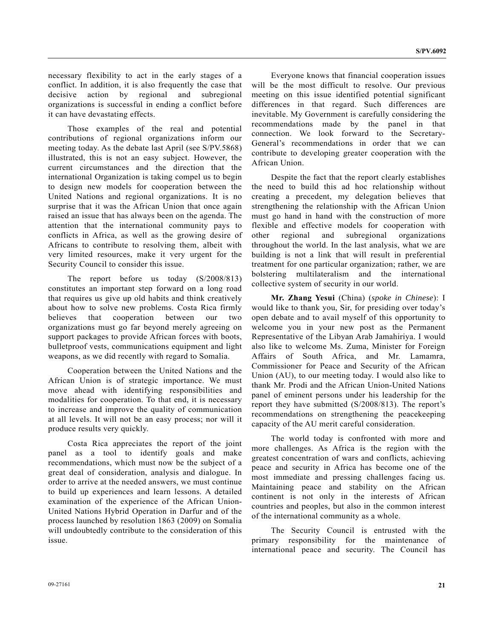necessary flexibility to act in the early stages of a conflict. In addition, it is also frequently the case that decisive action by regional and subregional organizations is successful in ending a conflict before it can have devastating effects.

 Those examples of the real and potential contributions of regional organizations inform our meeting today. As the debate last April (see S/PV.5868) illustrated, this is not an easy subject. However, the current circumstances and the direction that the international Organization is taking compel us to begin to design new models for cooperation between the United Nations and regional organizations. It is no surprise that it was the African Union that once again raised an issue that has always been on the agenda. The attention that the international community pays to conflicts in Africa, as well as the growing desire of Africans to contribute to resolving them, albeit with very limited resources, make it very urgent for the Security Council to consider this issue.

 The report before us today (S/2008/813) constitutes an important step forward on a long road that requires us give up old habits and think creatively about how to solve new problems. Costa Rica firmly believes that cooperation between our two organizations must go far beyond merely agreeing on support packages to provide African forces with boots, bulletproof vests, communications equipment and light weapons, as we did recently with regard to Somalia.

 Cooperation between the United Nations and the African Union is of strategic importance. We must move ahead with identifying responsibilities and modalities for cooperation. To that end, it is necessary to increase and improve the quality of communication at all levels. It will not be an easy process; nor will it produce results very quickly.

 Costa Rica appreciates the report of the joint panel as a tool to identify goals and make recommendations, which must now be the subject of a great deal of consideration, analysis and dialogue. In order to arrive at the needed answers, we must continue to build up experiences and learn lessons. A detailed examination of the experience of the African Union-United Nations Hybrid Operation in Darfur and of the process launched by resolution 1863 (2009) on Somalia will undoubtedly contribute to the consideration of this issue.

 Everyone knows that financial cooperation issues will be the most difficult to resolve. Our previous meeting on this issue identified potential significant differences in that regard. Such differences are inevitable. My Government is carefully considering the recommendations made by the panel in that connection. We look forward to the Secretary-General's recommendations in order that we can contribute to developing greater cooperation with the African Union.

 Despite the fact that the report clearly establishes the need to build this ad hoc relationship without creating a precedent, my delegation believes that strengthening the relationship with the African Union must go hand in hand with the construction of more flexible and effective models for cooperation with other regional and subregional organizations throughout the world. In the last analysis, what we are building is not a link that will result in preferential treatment for one particular organization; rather, we are bolstering multilateralism and the international collective system of security in our world.

**Mr. Zhang Yesui** (China) (*spoke in Chinese*): I would like to thank you, Sir, for presiding over today's open debate and to avail myself of this opportunity to welcome you in your new post as the Permanent Representative of the Libyan Arab Jamahiriya. I would also like to welcome Ms. Zuma, Minister for Foreign Affairs of South Africa, and Mr. Lamamra, Commissioner for Peace and Security of the African Union (AU), to our meeting today. I would also like to thank Mr. Prodi and the African Union-United Nations panel of eminent persons under his leadership for the report they have submitted (S/2008/813). The report's recommendations on strengthening the peacekeeping capacity of the AU merit careful consideration.

 The world today is confronted with more and more challenges. As Africa is the region with the greatest concentration of wars and conflicts, achieving peace and security in Africa has become one of the most immediate and pressing challenges facing us. Maintaining peace and stability on the African continent is not only in the interests of African countries and peoples, but also in the common interest of the international community as a whole.

 The Security Council is entrusted with the primary responsibility for the maintenance of international peace and security. The Council has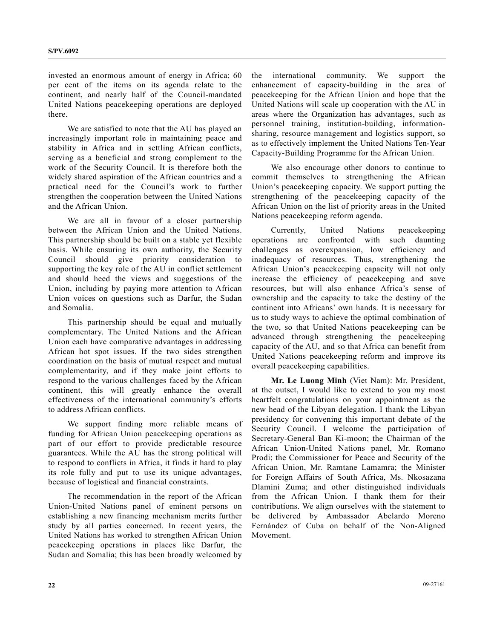invested an enormous amount of energy in Africa; 60 per cent of the items on its agenda relate to the continent, and nearly half of the Council-mandated United Nations peacekeeping operations are deployed there.

 We are satisfied to note that the AU has played an increasingly important role in maintaining peace and stability in Africa and in settling African conflicts, serving as a beneficial and strong complement to the work of the Security Council. It is therefore both the widely shared aspiration of the African countries and a practical need for the Council's work to further strengthen the cooperation between the United Nations and the African Union.

 We are all in favour of a closer partnership between the African Union and the United Nations. This partnership should be built on a stable yet flexible basis. While ensuring its own authority, the Security Council should give priority consideration to supporting the key role of the AU in conflict settlement and should heed the views and suggestions of the Union, including by paying more attention to African Union voices on questions such as Darfur, the Sudan and Somalia.

 This partnership should be equal and mutually complementary. The United Nations and the African Union each have comparative advantages in addressing African hot spot issues. If the two sides strengthen coordination on the basis of mutual respect and mutual complementarity, and if they make joint efforts to respond to the various challenges faced by the African continent, this will greatly enhance the overall effectiveness of the international community's efforts to address African conflicts.

 We support finding more reliable means of funding for African Union peacekeeping operations as part of our effort to provide predictable resource guarantees. While the AU has the strong political will to respond to conflicts in Africa, it finds it hard to play its role fully and put to use its unique advantages, because of logistical and financial constraints.

 The recommendation in the report of the African Union-United Nations panel of eminent persons on establishing a new financing mechanism merits further study by all parties concerned. In recent years, the United Nations has worked to strengthen African Union peacekeeping operations in places like Darfur, the Sudan and Somalia; this has been broadly welcomed by the international community. We support the enhancement of capacity-building in the area of peacekeeping for the African Union and hope that the United Nations will scale up cooperation with the AU in areas where the Organization has advantages, such as personnel training, institution-building, informationsharing, resource management and logistics support, so as to effectively implement the United Nations Ten-Year Capacity-Building Programme for the African Union.

 We also encourage other donors to continue to commit themselves to strengthening the African Union's peacekeeping capacity. We support putting the strengthening of the peacekeeping capacity of the African Union on the list of priority areas in the United Nations peacekeeping reform agenda.

 Currently, United Nations peacekeeping operations are confronted with such daunting challenges as overexpansion, low efficiency and inadequacy of resources. Thus, strengthening the African Union's peacekeeping capacity will not only increase the efficiency of peacekeeping and save resources, but will also enhance Africa's sense of ownership and the capacity to take the destiny of the continent into Africans' own hands. It is necessary for us to study ways to achieve the optimal combination of the two, so that United Nations peacekeeping can be advanced through strengthening the peacekeeping capacity of the AU, and so that Africa can benefit from United Nations peacekeeping reform and improve its overall peacekeeping capabilities.

**Mr. Le Luong Minh** (Viet Nam): Mr. President, at the outset, I would like to extend to you my most heartfelt congratulations on your appointment as the new head of the Libyan delegation. I thank the Libyan presidency for convening this important debate of the Security Council. I welcome the participation of Secretary-General Ban Ki-moon; the Chairman of the African Union-United Nations panel, Mr. Romano Prodi; the Commissioner for Peace and Security of the African Union, Mr. Ramtane Lamamra; the Minister for Foreign Affairs of South Africa, Ms. Nkosazana Dlamini Zuma; and other distinguished individuals from the African Union. I thank them for their contributions. We align ourselves with the statement to be delivered by Ambassador Abelardo Moreno Fernández of Cuba on behalf of the Non-Aligned Movement.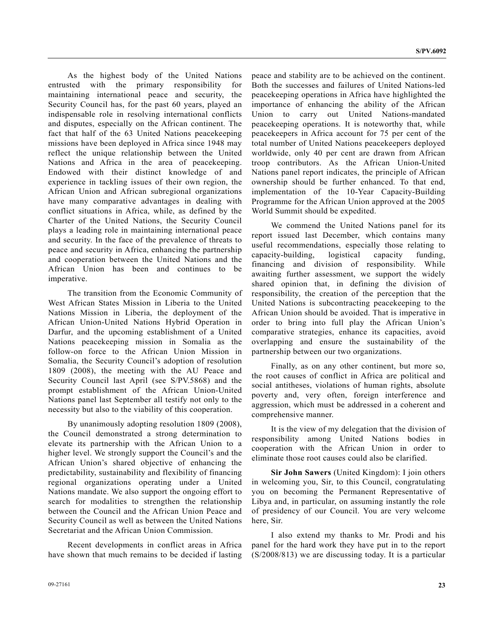As the highest body of the United Nations entrusted with the primary responsibility for maintaining international peace and security, the Security Council has, for the past 60 years, played an indispensable role in resolving international conflicts and disputes, especially on the African continent. The fact that half of the 63 United Nations peacekeeping missions have been deployed in Africa since 1948 may reflect the unique relationship between the United Nations and Africa in the area of peacekeeping. Endowed with their distinct knowledge of and experience in tackling issues of their own region, the African Union and African subregional organizations have many comparative advantages in dealing with conflict situations in Africa, while, as defined by the Charter of the United Nations, the Security Council plays a leading role in maintaining international peace and security. In the face of the prevalence of threats to peace and security in Africa, enhancing the partnership and cooperation between the United Nations and the African Union has been and continues to be imperative.

 The transition from the Economic Community of West African States Mission in Liberia to the United Nations Mission in Liberia, the deployment of the African Union-United Nations Hybrid Operation in Darfur, and the upcoming establishment of a United Nations peacekeeping mission in Somalia as the follow-on force to the African Union Mission in Somalia, the Security Council's adoption of resolution 1809 (2008), the meeting with the AU Peace and Security Council last April (see S/PV.5868) and the prompt establishment of the African Union-United Nations panel last September all testify not only to the necessity but also to the viability of this cooperation.

 By unanimously adopting resolution 1809 (2008), the Council demonstrated a strong determination to elevate its partnership with the African Union to a higher level. We strongly support the Council's and the African Union's shared objective of enhancing the predictability, sustainability and flexibility of financing regional organizations operating under a United Nations mandate. We also support the ongoing effort to search for modalities to strengthen the relationship between the Council and the African Union Peace and Security Council as well as between the United Nations Secretariat and the African Union Commission.

 Recent developments in conflict areas in Africa have shown that much remains to be decided if lasting peace and stability are to be achieved on the continent. Both the successes and failures of United Nations-led peacekeeping operations in Africa have highlighted the importance of enhancing the ability of the African Union to carry out United Nations-mandated peacekeeping operations. It is noteworthy that, while peacekeepers in Africa account for 75 per cent of the total number of United Nations peacekeepers deployed worldwide, only 40 per cent are drawn from African troop contributors. As the African Union-United Nations panel report indicates, the principle of African ownership should be further enhanced. To that end, implementation of the 10-Year Capacity-Building Programme for the African Union approved at the 2005 World Summit should be expedited.

 We commend the United Nations panel for its report issued last December, which contains many useful recommendations, especially those relating to capacity-building, logistical capacity funding, financing and division of responsibility. While awaiting further assessment, we support the widely shared opinion that, in defining the division of responsibility, the creation of the perception that the United Nations is subcontracting peacekeeping to the African Union should be avoided. That is imperative in order to bring into full play the African Union's comparative strategies, enhance its capacities, avoid overlapping and ensure the sustainability of the partnership between our two organizations.

 Finally, as on any other continent, but more so, the root causes of conflict in Africa are political and social antitheses, violations of human rights, absolute poverty and, very often, foreign interference and aggression, which must be addressed in a coherent and comprehensive manner.

 It is the view of my delegation that the division of responsibility among United Nations bodies in cooperation with the African Union in order to eliminate those root causes could also be clarified.

**Sir John Sawers** (United Kingdom): I join others in welcoming you, Sir, to this Council, congratulating you on becoming the Permanent Representative of Libya and, in particular, on assuming instantly the role of presidency of our Council. You are very welcome here, Sir.

 I also extend my thanks to Mr. Prodi and his panel for the hard work they have put in to the report (S/2008/813) we are discussing today. It is a particular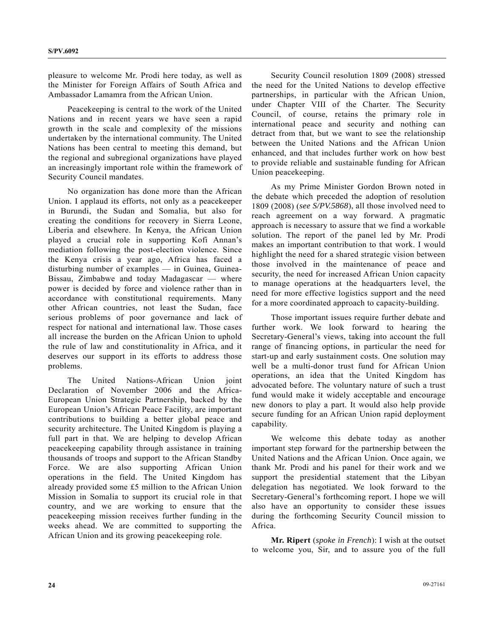pleasure to welcome Mr. Prodi here today, as well as the Minister for Foreign Affairs of South Africa and Ambassador Lamamra from the African Union.

 Peacekeeping is central to the work of the United Nations and in recent years we have seen a rapid growth in the scale and complexity of the missions undertaken by the international community. The United Nations has been central to meeting this demand, but the regional and subregional organizations have played an increasingly important role within the framework of Security Council mandates.

 No organization has done more than the African Union. I applaud its efforts, not only as a peacekeeper in Burundi, the Sudan and Somalia, but also for creating the conditions for recovery in Sierra Leone, Liberia and elsewhere. In Kenya, the African Union played a crucial role in supporting Kofi Annan's mediation following the post-election violence. Since the Kenya crisis a year ago, Africa has faced a disturbing number of examples — in Guinea, Guinea-Bissau, Zimbabwe and today Madagascar — where power is decided by force and violence rather than in accordance with constitutional requirements. Many other African countries, not least the Sudan, face serious problems of poor governance and lack of respect for national and international law. Those cases all increase the burden on the African Union to uphold the rule of law and constitutionality in Africa, and it deserves our support in its efforts to address those problems.

 The United Nations-African Union joint Declaration of November 2006 and the Africa-European Union Strategic Partnership, backed by the European Union's African Peace Facility, are important contributions to building a better global peace and security architecture. The United Kingdom is playing a full part in that. We are helping to develop African peacekeeping capability through assistance in training thousands of troops and support to the African Standby Force. We are also supporting African Union operations in the field. The United Kingdom has already provided some £5 million to the African Union Mission in Somalia to support its crucial role in that country, and we are working to ensure that the peacekeeping mission receives further funding in the weeks ahead. We are committed to supporting the African Union and its growing peacekeeping role.

 Security Council resolution 1809 (2008) stressed the need for the United Nations to develop effective partnerships, in particular with the African Union, under Chapter VIII of the Charter. The Security Council, of course, retains the primary role in international peace and security and nothing can detract from that, but we want to see the relationship between the United Nations and the African Union enhanced, and that includes further work on how best to provide reliable and sustainable funding for African Union peacekeeping.

 As my Prime Minister Gordon Brown noted in the debate which preceded the adoption of resolution 1809 (2008) (*see S/PV.5868*), all those involved need to reach agreement on a way forward. A pragmatic approach is necessary to assure that we find a workable solution. The report of the panel led by Mr. Prodi makes an important contribution to that work. I would highlight the need for a shared strategic vision between those involved in the maintenance of peace and security, the need for increased African Union capacity to manage operations at the headquarters level, the need for more effective logistics support and the need for a more coordinated approach to capacity-building.

 Those important issues require further debate and further work. We look forward to hearing the Secretary-General's views, taking into account the full range of financing options, in particular the need for start-up and early sustainment costs. One solution may well be a multi-donor trust fund for African Union operations, an idea that the United Kingdom has advocated before. The voluntary nature of such a trust fund would make it widely acceptable and encourage new donors to play a part. It would also help provide secure funding for an African Union rapid deployment capability.

 We welcome this debate today as another important step forward for the partnership between the United Nations and the African Union. Once again, we thank Mr. Prodi and his panel for their work and we support the presidential statement that the Libyan delegation has negotiated. We look forward to the Secretary-General's forthcoming report. I hope we will also have an opportunity to consider these issues during the forthcoming Security Council mission to Africa.

**Mr. Ripert** (*spoke in French*): I wish at the outset to welcome you, Sir, and to assure you of the full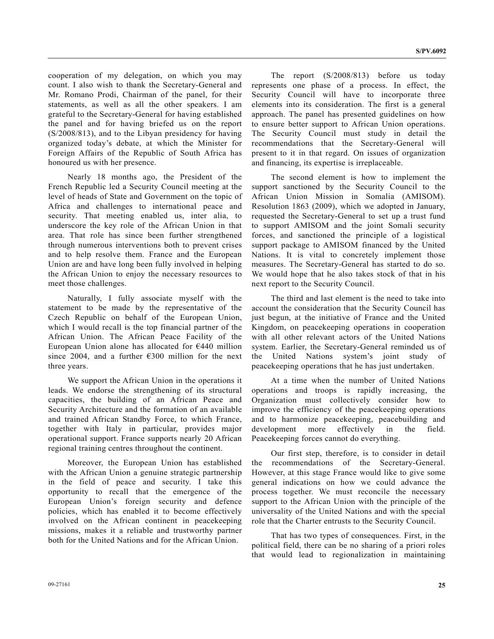cooperation of my delegation, on which you may count. I also wish to thank the Secretary-General and Mr. Romano Prodi, Chairman of the panel, for their statements, as well as all the other speakers. I am grateful to the Secretary-General for having established the panel and for having briefed us on the report (S/2008/813), and to the Libyan presidency for having organized today's debate, at which the Minister for Foreign Affairs of the Republic of South Africa has honoured us with her presence.

 Nearly 18 months ago, the President of the French Republic led a Security Council meeting at the level of heads of State and Government on the topic of Africa and challenges to international peace and security. That meeting enabled us, inter alia, to underscore the key role of the African Union in that area. That role has since been further strengthened through numerous interventions both to prevent crises and to help resolve them. France and the European Union are and have long been fully involved in helping the African Union to enjoy the necessary resources to meet those challenges.

 Naturally, I fully associate myself with the statement to be made by the representative of the Czech Republic on behalf of the European Union, which I would recall is the top financial partner of the African Union. The African Peace Facility of the European Union alone has allocated for €440 million since 2004, and a further  $\epsilon$ 300 million for the next three years.

 We support the African Union in the operations it leads. We endorse the strengthening of its structural capacities, the building of an African Peace and Security Architecture and the formation of an available and trained African Standby Force, to which France, together with Italy in particular, provides major operational support. France supports nearly 20 African regional training centres throughout the continent.

 Moreover, the European Union has established with the African Union a genuine strategic partnership in the field of peace and security. I take this opportunity to recall that the emergence of the European Union's foreign security and defence policies, which has enabled it to become effectively involved on the African continent in peacekeeping missions, makes it a reliable and trustworthy partner both for the United Nations and for the African Union.

 The report (S/2008/813) before us today represents one phase of a process. In effect, the Security Council will have to incorporate three elements into its consideration. The first is a general approach. The panel has presented guidelines on how to ensure better support to African Union operations. The Security Council must study in detail the recommendations that the Secretary-General will present to it in that regard. On issues of organization and financing, its expertise is irreplaceable.

 The second element is how to implement the support sanctioned by the Security Council to the African Union Mission in Somalia (AMISOM). Resolution 1863 (2009), which we adopted in January, requested the Secretary-General to set up a trust fund to support AMISOM and the joint Somali security forces, and sanctioned the principle of a logistical support package to AMISOM financed by the United Nations. It is vital to concretely implement those measures. The Secretary-General has started to do so. We would hope that he also takes stock of that in his next report to the Security Council.

 The third and last element is the need to take into account the consideration that the Security Council has just begun, at the initiative of France and the United Kingdom, on peacekeeping operations in cooperation with all other relevant actors of the United Nations system. Earlier, the Secretary-General reminded us of the United Nations system's joint study of peacekeeping operations that he has just undertaken.

 At a time when the number of United Nations operations and troops is rapidly increasing, the Organization must collectively consider how to improve the efficiency of the peacekeeping operations and to harmonize peacekeeping, peacebuilding and development more effectively in the field. Peacekeeping forces cannot do everything.

 Our first step, therefore, is to consider in detail the recommendations of the Secretary-General. However, at this stage France would like to give some general indications on how we could advance the process together. We must reconcile the necessary support to the African Union with the principle of the universality of the United Nations and with the special role that the Charter entrusts to the Security Council.

 That has two types of consequences. First, in the political field, there can be no sharing of a priori roles that would lead to regionalization in maintaining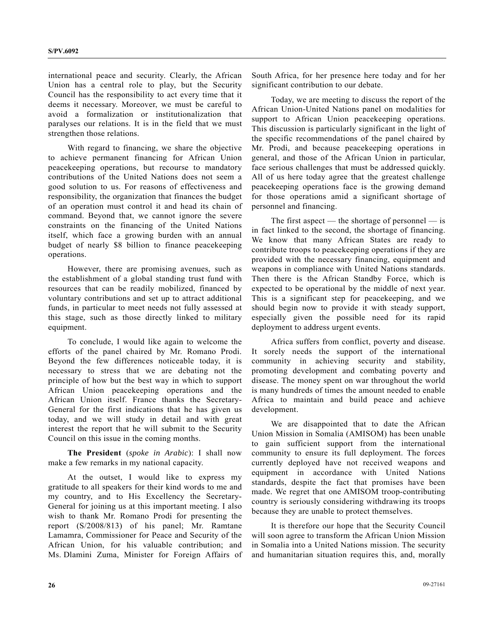international peace and security. Clearly, the African Union has a central role to play, but the Security Council has the responsibility to act every time that it deems it necessary. Moreover, we must be careful to avoid a formalization or institutionalization that paralyses our relations. It is in the field that we must strengthen those relations.

 With regard to financing, we share the objective to achieve permanent financing for African Union peacekeeping operations, but recourse to mandatory contributions of the United Nations does not seem a good solution to us. For reasons of effectiveness and responsibility, the organization that finances the budget of an operation must control it and head its chain of command. Beyond that, we cannot ignore the severe constraints on the financing of the United Nations itself, which face a growing burden with an annual budget of nearly \$8 billion to finance peacekeeping operations.

 However, there are promising avenues, such as the establishment of a global standing trust fund with resources that can be readily mobilized, financed by voluntary contributions and set up to attract additional funds, in particular to meet needs not fully assessed at this stage, such as those directly linked to military equipment.

 To conclude, I would like again to welcome the efforts of the panel chaired by Mr. Romano Prodi. Beyond the few differences noticeable today, it is necessary to stress that we are debating not the principle of how but the best way in which to support African Union peacekeeping operations and the African Union itself. France thanks the Secretary-General for the first indications that he has given us today, and we will study in detail and with great interest the report that he will submit to the Security Council on this issue in the coming months.

**The President** (*spoke in Arabic*): I shall now make a few remarks in my national capacity.

 At the outset, I would like to express my gratitude to all speakers for their kind words to me and my country, and to His Excellency the Secretary-General for joining us at this important meeting. I also wish to thank Mr. Romano Prodi for presenting the report (S/2008/813) of his panel; Mr. Ramtane Lamamra, Commissioner for Peace and Security of the African Union, for his valuable contribution; and Ms. Dlamini Zuma, Minister for Foreign Affairs of South Africa, for her presence here today and for her significant contribution to our debate.

 Today, we are meeting to discuss the report of the African Union-United Nations panel on modalities for support to African Union peacekeeping operations. This discussion is particularly significant in the light of the specific recommendations of the panel chaired by Mr. Prodi, and because peacekeeping operations in general, and those of the African Union in particular, face serious challenges that must be addressed quickly. All of us here today agree that the greatest challenge peacekeeping operations face is the growing demand for those operations amid a significant shortage of personnel and financing.

The first aspect — the shortage of personnel — is in fact linked to the second, the shortage of financing. We know that many African States are ready to contribute troops to peacekeeping operations if they are provided with the necessary financing, equipment and weapons in compliance with United Nations standards. Then there is the African Standby Force, which is expected to be operational by the middle of next year. This is a significant step for peacekeeping, and we should begin now to provide it with steady support, especially given the possible need for its rapid deployment to address urgent events.

 Africa suffers from conflict, poverty and disease. It sorely needs the support of the international community in achieving security and stability, promoting development and combating poverty and disease. The money spent on war throughout the world is many hundreds of times the amount needed to enable Africa to maintain and build peace and achieve development.

 We are disappointed that to date the African Union Mission in Somalia (AMISOM) has been unable to gain sufficient support from the international community to ensure its full deployment. The forces currently deployed have not received weapons and equipment in accordance with United Nations standards, despite the fact that promises have been made. We regret that one AMISOM troop-contributing country is seriously considering withdrawing its troops because they are unable to protect themselves.

 It is therefore our hope that the Security Council will soon agree to transform the African Union Mission in Somalia into a United Nations mission. The security and humanitarian situation requires this, and, morally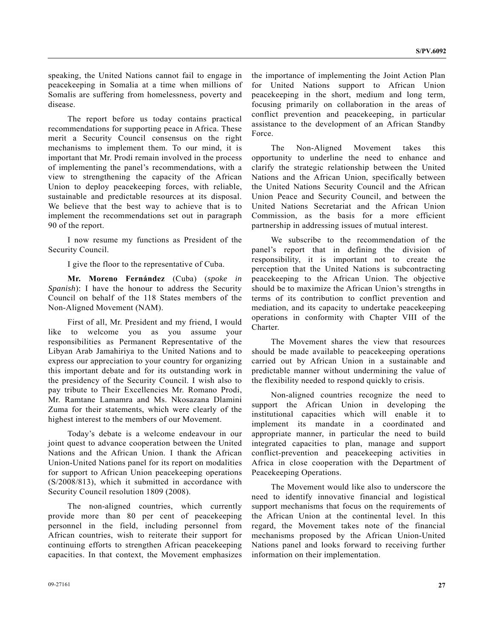speaking, the United Nations cannot fail to engage in peacekeeping in Somalia at a time when millions of Somalis are suffering from homelessness, poverty and disease.

 The report before us today contains practical recommendations for supporting peace in Africa. These merit a Security Council consensus on the right mechanisms to implement them. To our mind, it is important that Mr. Prodi remain involved in the process of implementing the panel's recommendations, with a view to strengthening the capacity of the African Union to deploy peacekeeping forces, with reliable, sustainable and predictable resources at its disposal. We believe that the best way to achieve that is to implement the recommendations set out in paragraph 90 of the report.

 I now resume my functions as President of the Security Council.

I give the floor to the representative of Cuba.

**Mr. Moreno Fernández** (Cuba) (*spoke in Spanish*): I have the honour to address the Security Council on behalf of the 118 States members of the Non-Aligned Movement (NAM).

 First of all, Mr. President and my friend, I would like to welcome you as you assume your responsibilities as Permanent Representative of the Libyan Arab Jamahiriya to the United Nations and to express our appreciation to your country for organizing this important debate and for its outstanding work in the presidency of the Security Council. I wish also to pay tribute to Their Excellencies Mr. Romano Prodi, Mr. Ramtane Lamamra and Ms. Nkosazana Dlamini Zuma for their statements, which were clearly of the highest interest to the members of our Movement.

 Today's debate is a welcome endeavour in our joint quest to advance cooperation between the United Nations and the African Union. I thank the African Union-United Nations panel for its report on modalities for support to African Union peacekeeping operations (S/2008/813), which it submitted in accordance with Security Council resolution 1809 (2008).

 The non-aligned countries, which currently provide more than 80 per cent of peacekeeping personnel in the field, including personnel from African countries, wish to reiterate their support for continuing efforts to strengthen African peacekeeping capacities. In that context, the Movement emphasizes the importance of implementing the Joint Action Plan for United Nations support to African Union peacekeeping in the short, medium and long term, focusing primarily on collaboration in the areas of conflict prevention and peacekeeping, in particular assistance to the development of an African Standby Force.

 The Non-Aligned Movement takes this opportunity to underline the need to enhance and clarify the strategic relationship between the United Nations and the African Union, specifically between the United Nations Security Council and the African Union Peace and Security Council, and between the United Nations Secretariat and the African Union Commission, as the basis for a more efficient partnership in addressing issues of mutual interest.

 We subscribe to the recommendation of the panel's report that in defining the division of responsibility, it is important not to create the perception that the United Nations is subcontracting peacekeeping to the African Union. The objective should be to maximize the African Union's strengths in terms of its contribution to conflict prevention and mediation, and its capacity to undertake peacekeeping operations in conformity with Chapter VIII of the Charter.

 The Movement shares the view that resources should be made available to peacekeeping operations carried out by African Union in a sustainable and predictable manner without undermining the value of the flexibility needed to respond quickly to crisis.

 Non-aligned countries recognize the need to support the African Union in developing the institutional capacities which will enable it to implement its mandate in a coordinated and appropriate manner, in particular the need to build integrated capacities to plan, manage and support conflict-prevention and peacekeeping activities in Africa in close cooperation with the Department of Peacekeeping Operations.

 The Movement would like also to underscore the need to identify innovative financial and logistical support mechanisms that focus on the requirements of the African Union at the continental level. In this regard, the Movement takes note of the financial mechanisms proposed by the African Union-United Nations panel and looks forward to receiving further information on their implementation.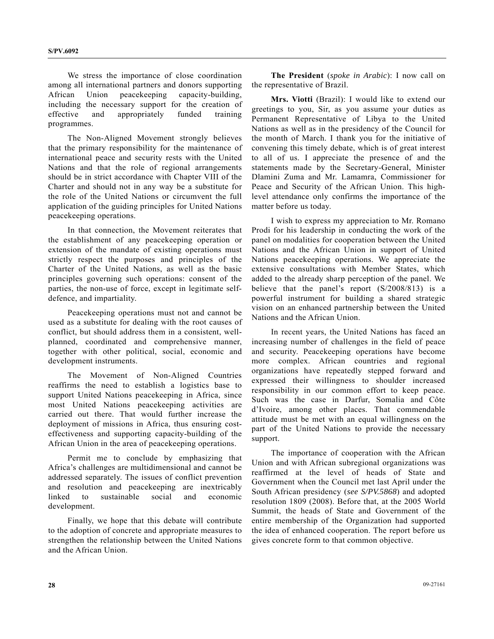We stress the importance of close coordination among all international partners and donors supporting African Union peacekeeping capacity-building, including the necessary support for the creation of effective and appropriately funded training programmes.

 The Non-Aligned Movement strongly believes that the primary responsibility for the maintenance of international peace and security rests with the United Nations and that the role of regional arrangements should be in strict accordance with Chapter VIII of the Charter and should not in any way be a substitute for the role of the United Nations or circumvent the full application of the guiding principles for United Nations peacekeeping operations.

 In that connection, the Movement reiterates that the establishment of any peacekeeping operation or extension of the mandate of existing operations must strictly respect the purposes and principles of the Charter of the United Nations, as well as the basic principles governing such operations: consent of the parties, the non-use of force, except in legitimate selfdefence, and impartiality.

 Peacekeeping operations must not and cannot be used as a substitute for dealing with the root causes of conflict, but should address them in a consistent, wellplanned, coordinated and comprehensive manner, together with other political, social, economic and development instruments.

 The Movement of Non-Aligned Countries reaffirms the need to establish a logistics base to support United Nations peacekeeping in Africa, since most United Nations peacekeeping activities are carried out there. That would further increase the deployment of missions in Africa, thus ensuring costeffectiveness and supporting capacity-building of the African Union in the area of peacekeeping operations.

 Permit me to conclude by emphasizing that Africa's challenges are multidimensional and cannot be addressed separately. The issues of conflict prevention and resolution and peacekeeping are inextricably linked to sustainable social and economic development.

 Finally, we hope that this debate will contribute to the adoption of concrete and appropriate measures to strengthen the relationship between the United Nations and the African Union.

**The President** (*spoke in Arabic*): I now call on the representative of Brazil.

**Mrs. Viotti** (Brazil): I would like to extend our greetings to you, Sir, as you assume your duties as Permanent Representative of Libya to the United Nations as well as in the presidency of the Council for the month of March. I thank you for the initiative of convening this timely debate, which is of great interest to all of us. I appreciate the presence of and the statements made by the Secretary-General, Minister Dlamini Zuma and Mr. Lamamra, Commissioner for Peace and Security of the African Union. This highlevel attendance only confirms the importance of the matter before us today.

 I wish to express my appreciation to Mr. Romano Prodi for his leadership in conducting the work of the panel on modalities for cooperation between the United Nations and the African Union in support of United Nations peacekeeping operations. We appreciate the extensive consultations with Member States, which added to the already sharp perception of the panel. We believe that the panel's report (S/2008/813) is a powerful instrument for building a shared strategic vision on an enhanced partnership between the United Nations and the African Union.

 In recent years, the United Nations has faced an increasing number of challenges in the field of peace and security. Peacekeeping operations have become more complex. African countries and regional organizations have repeatedly stepped forward and expressed their willingness to shoulder increased responsibility in our common effort to keep peace. Such was the case in Darfur, Somalia and Côte d'Ivoire, among other places. That commendable attitude must be met with an equal willingness on the part of the United Nations to provide the necessary support.

 The importance of cooperation with the African Union and with African subregional organizations was reaffirmed at the level of heads of State and Government when the Council met last April under the South African presidency (*see S/PV.5868*) and adopted resolution 1809 (2008). Before that, at the 2005 World Summit, the heads of State and Government of the entire membership of the Organization had supported the idea of enhanced cooperation. The report before us gives concrete form to that common objective.